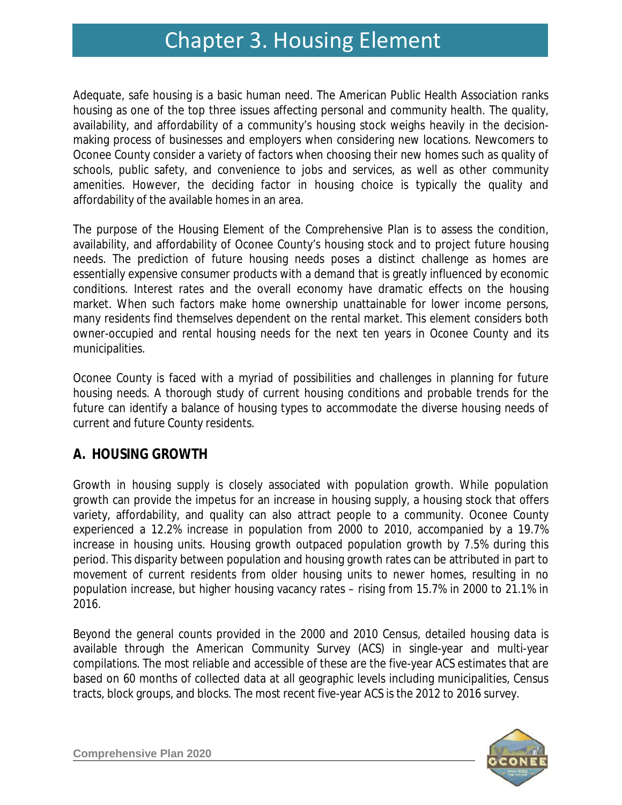# Chapter 3. Housing Element Chapter 3. Housing Element

Adequate, safe housing is a basic human need. The American Public Health Association ranks housing as one of the top three issues affecting personal and community health. The quality, availability, and affordability of a community's housing stock weighs heavily in the decisionmaking process of businesses and employers when considering new locations. Newcomers to Oconee County consider a variety of factors when choosing their new homes such as quality of schools, public safety, and convenience to jobs and services, as well as other community amenities. However, the deciding factor in housing choice is typically the quality and affordability of the available homes in an area.

The purpose of the Housing Element of the Comprehensive Plan is to assess the condition, availability, and affordability of Oconee County's housing stock and to project future housing needs. The prediction of future housing needs poses a distinct challenge as homes are essentially expensive consumer products with a demand that is greatly influenced by economic conditions. Interest rates and the overall economy have dramatic effects on the housing market. When such factors make home ownership unattainable for lower income persons, many residents find themselves dependent on the rental market. This element considers both owner-occupied and rental housing needs for the next ten years in Oconee County and its municipalities.

Oconee County is faced with a myriad of possibilities and challenges in planning for future housing needs. A thorough study of current housing conditions and probable trends for the future can identify a balance of housing types to accommodate the diverse housing needs of current and future County residents.

### **A. HOUSING GROWTH**

Growth in housing supply is closely associated with population growth. While population growth can provide the impetus for an increase in housing supply, a housing stock that offers variety, affordability, and quality can also attract people to a community. Oconee County experienced a 12.2% increase in population from 2000 to 2010, accompanied by a 19.7% increase in housing units. Housing growth outpaced population growth by 7.5% during this period. This disparity between population and housing growth rates can be attributed in part to movement of current residents from older housing units to newer homes, resulting in no population increase, but higher housing vacancy rates – rising from 15.7% in 2000 to 21.1% in 2016.

Beyond the general counts provided in the 2000 and 2010 Census, detailed housing data is available through the American Community Survey (ACS) in single-year and multi-year compilations. The most reliable and accessible of these are the five-year ACS estimates that are based on 60 months of collected data at all geographic levels including municipalities, Census tracts, block groups, and blocks. The most recent five-year ACS is the 2012 to 2016 survey.

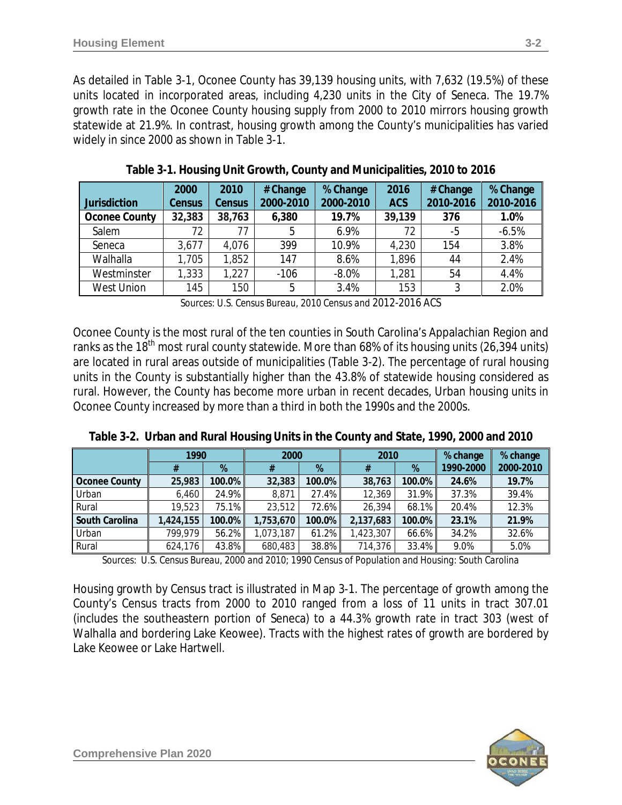As detailed in Table 3-1, Oconee County has 39,139 housing units, with 7,632 (19.5%) of these units located in incorporated areas, including 4,230 units in the City of Seneca. The 19.7% growth rate in the Oconee County housing supply from 2000 to 2010 mirrors housing growth statewide at 21.9%. In contrast, housing growth among the County's municipalities has varied widely in since 2000 as shown in Table 3-1.

| <b>Jurisdiction</b> | 2000<br>Census | 2010<br><b>Census</b> | # Change<br>2000-2010 | % Change<br>2000-2010 | 2016<br><b>ACS</b> | # Change<br>2010-2016 | % Change<br>2010-2016 |
|---------------------|----------------|-----------------------|-----------------------|-----------------------|--------------------|-----------------------|-----------------------|
| Oconee County       | 32,383         | 38,763                | 6,380                 | 19.7%                 | 39,139             | 376                   | 1.0%                  |
| Salem               | 72             | 77                    | 5                     | 6.9%                  | 72                 | -5                    | $-6.5%$               |
| Seneca              | 3,677          | 4,076                 | 399                   | 10.9%                 | 4,230              | 154                   | 3.8%                  |
| Walhalla            | 1,705          | 1,852                 | 147                   | 8.6%                  | 1,896              | 44                    | 2.4%                  |
| Westminster         | 1,333          | 1,227                 | $-106$                | $-8.0%$               | 1,281              | 54                    | 4.4%                  |
| <b>West Union</b>   | 145            | 150                   | 5                     | 3.4%                  | 153                | ર                     | 2.0%                  |

**Table 3-1. Housing Unit Growth, County and Municipalities, 2010 to 2016**

*Sources: U.S. Census Bureau, 2010 Census and 2012-2016 ACS*

Oconee County is the most rural of the ten counties in South Carolina's Appalachian Region and ranks as the 18<sup>th</sup> most rural county statewide. More than 68% of its housing units (26,394 units) are located in rural areas outside of municipalities (Table 3-2). The percentage of rural housing units in the County is substantially higher than the 43.8% of statewide housing considered as rural. However, the County has become more urban in recent decades, Urban housing units in Oconee County increased by more than a third in both the 1990s and the 2000s.

|  |  |  |  | Table 3-2. Urban and Rural Housing Units in the County and State, 1990, 2000 and 2010 |  |  |  |
|--|--|--|--|---------------------------------------------------------------------------------------|--|--|--|
|--|--|--|--|---------------------------------------------------------------------------------------|--|--|--|

|                | 1990      |           | 2000      |        | 2010      |           | % change  | % change  |
|----------------|-----------|-----------|-----------|--------|-----------|-----------|-----------|-----------|
|                |           | %         |           | %      | #         | %         | 1990-2000 | 2000-2010 |
| Oconee County  | 25,983    | 100.0%    | 32,383    | 100.0% | 38,763    | $100.0\%$ | 24.6%     | 19.7%     |
| Urban          | 6,460     | 24.9%     | 8,871     | 27.4%  | 12,369    | 31.9%     | 37.3%     | 39.4%     |
| Rural          | 19,523    | 75.1%     | 23,512    | 72.6%  | 26,394    | 68.1%     | 20.4%     | 12.3%     |
| South Carolina | 1,424,155 | $100.0\%$ | 1,753,670 | 100.0% | 2,137,683 | $100.0\%$ | 23.1%     | 21.9%     |
| Urban          | 799,979   | 56.2%     | 1,073,187 | 61.2%  | 1,423,307 | 66.6%     | 34.2%     | 32.6%     |
| Rural          | 624,176   | 43.8%     | 680,483   | 38.8%  | 714,376   | 33.4%     | 9.0%      | 5.0%      |

*Sources: U.S. Census Bureau, 2000 and 2010; 1990 Census of Population and Housing: South Carolina*

Housing growth by Census tract is illustrated in Map 3-1. The percentage of growth among the County's Census tracts from 2000 to 2010 ranged from a loss of 11 units in tract 307.01 (includes the southeastern portion of Seneca) to a 44.3% growth rate in tract 303 (west of Walhalla and bordering Lake Keowee). Tracts with the highest rates of growth are bordered by Lake Keowee or Lake Hartwell.

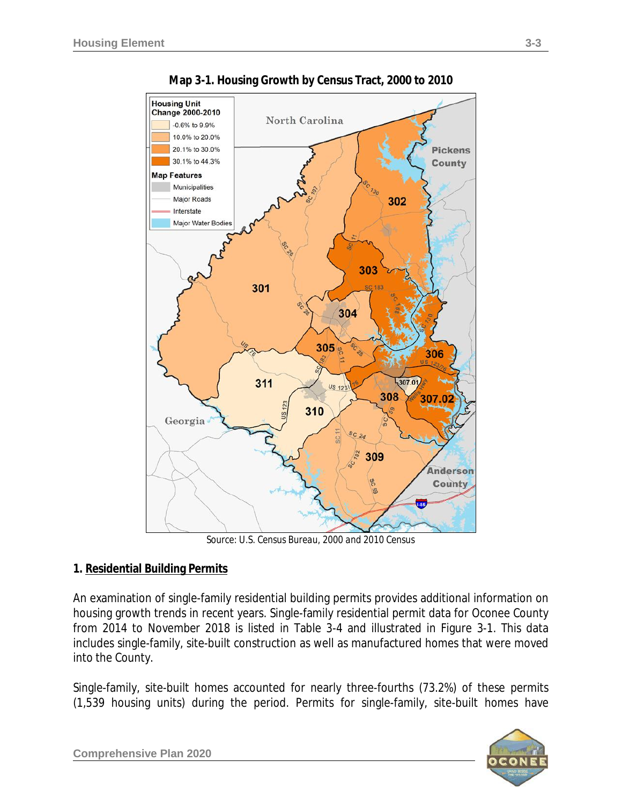

**Map 3-1. Housing Growth by Census Tract, 2000 to 2010**

*Source: U.S. Census Bureau, 2000 and 2010 Census*

#### **1. Residential Building Permits**

An examination of single-family residential building permits provides additional information on housing growth trends in recent years. Single-family residential permit data for Oconee County from 2014 to November 2018 is listed in Table 3-4 and illustrated in Figure 3-1. This data includes single-family, site-built construction as well as manufactured homes that were moved into the County.

Single-family, site-built homes accounted for nearly three-fourths (73.2%) of these permits (1,539 housing units) during the period. Permits for single-family, site-built homes have

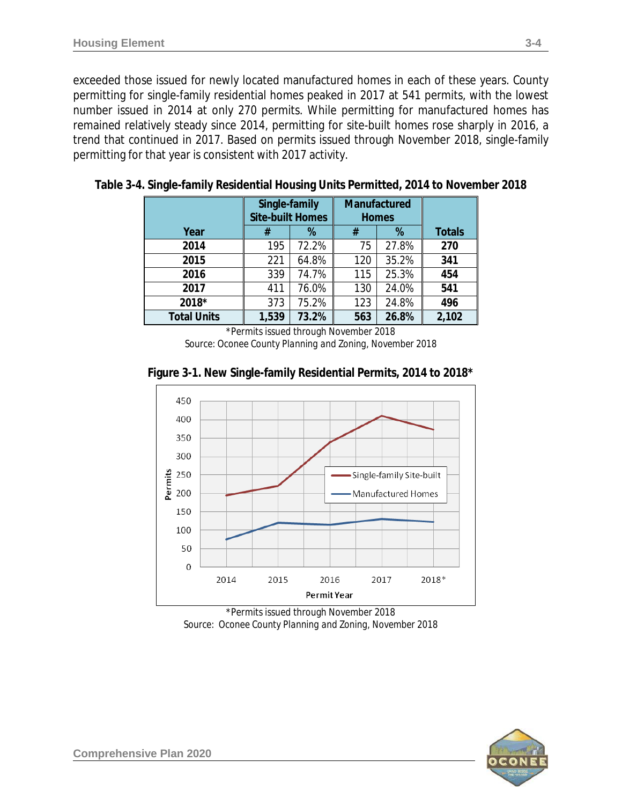exceeded those issued for newly located manufactured homes in each of these years. County permitting for single-family residential homes peaked in 2017 at 541 permits, with the lowest number issued in 2014 at only 270 permits. While permitting for manufactured homes has remained relatively steady since 2014, permitting for site-built homes rose sharply in 2016, a trend that continued in 2017. Based on permits issued through November 2018, single-family permitting for that year is consistent with 2017 activity.

|                    | Single-family<br><b>Site-built Homes</b> |       | Manufactured<br><b>Homes</b> |       |               |
|--------------------|------------------------------------------|-------|------------------------------|-------|---------------|
| Year               | #                                        | %     | #                            | %     | <b>Totals</b> |
| 2014               | 195                                      | 72.2% | 75                           | 27.8% | 270           |
| 2015               | 221                                      | 64.8% | 120                          | 35.2% | 341           |
| 2016               | 339                                      | 74.7% | 115                          | 25.3% | 454           |
| 2017               | 411                                      | 76.0% | 130                          | 24.0% | 541           |
| 2018*              | 373                                      | 75.2% | 123                          | 24.8% | 496           |
| <b>Total Units</b> | 1,539                                    | 73.2% | 563                          | 26.8% | 2,102         |

**Table 3-4. Single-family Residential Housing Units Permitted, 2014 to November 2018**

\*Permits issued through November 2018 *Source: Oconee County Planning and Zoning, November 2018*



**Figure 3-1. New Single-family Residential Permits, 2014 to 2018\***

*Source: Oconee County Planning and Zoning, November 2018*

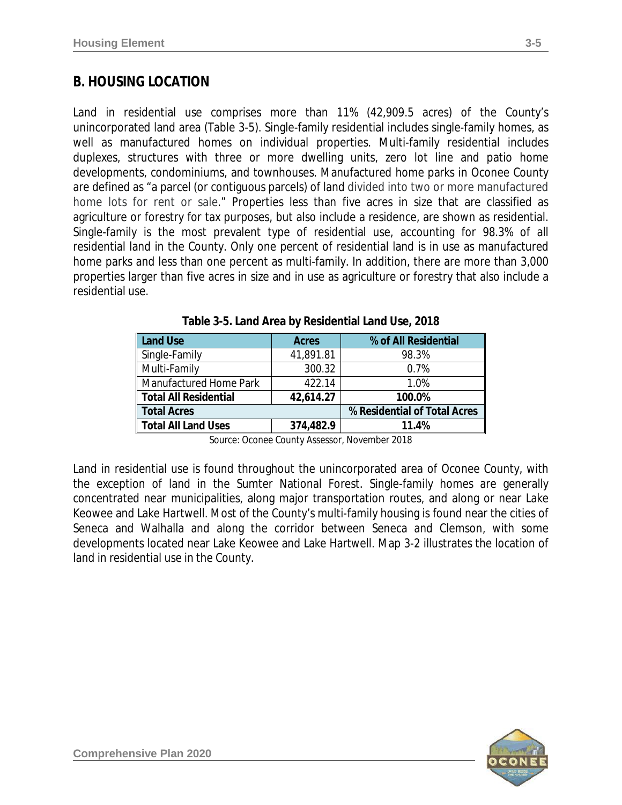### **B. HOUSING LOCATION**

Land in residential use comprises more than 11% (42,909.5 acres) of the County's unincorporated land area (Table 3-5). Single-family residential includes single-family homes, as well as manufactured homes on individual properties. Multi-family residential includes duplexes, structures with three or more dwelling units, zero lot line and patio home developments, condominiums, and townhouses. Manufactured home parks in Oconee County are defined as "a parcel (or contiguous parcels) of land divided into two or more manufactured home lots for rent or sale." Properties less than five acres in size that are classified as agriculture or forestry for tax purposes, but also include a residence, are shown as residential. Single-family is the most prevalent type of residential use, accounting for 98.3% of all residential land in the County. Only one percent of residential land is in use as manufactured home parks and less than one percent as multi-family. In addition, there are more than 3,000 properties larger than five acres in size and in use as agriculture or forestry that also include a residential use.

| <b>Land Use</b>              | <b>Acres</b> | % of All Residential         |
|------------------------------|--------------|------------------------------|
| Single-Family                | 41,891.81    | 98.3%                        |
| Multi-Family                 | 300.32       | 0.7%                         |
| Manufactured Home Park       | 422.14       | 1.0%                         |
| <b>Total All Residential</b> | 42,614.27    | 100.0%                       |
| <b>Total Acres</b>           |              | % Residential of Total Acres |
| <b>Total All Land Uses</b>   | 374,482.9    | 11.4%                        |

**Table 3-5. Land Area by Residential Land Use, 2018**

*Source: Oconee County Assessor, November 2018*

Land in residential use is found throughout the unincorporated area of Oconee County, with the exception of land in the Sumter National Forest. Single-family homes are generally concentrated near municipalities, along major transportation routes, and along or near Lake Keowee and Lake Hartwell. Most of the County's multi-family housing is found near the cities of Seneca and Walhalla and along the corridor between Seneca and Clemson, with some developments located near Lake Keowee and Lake Hartwell. Map 3-2 illustrates the location of land in residential use in the County.

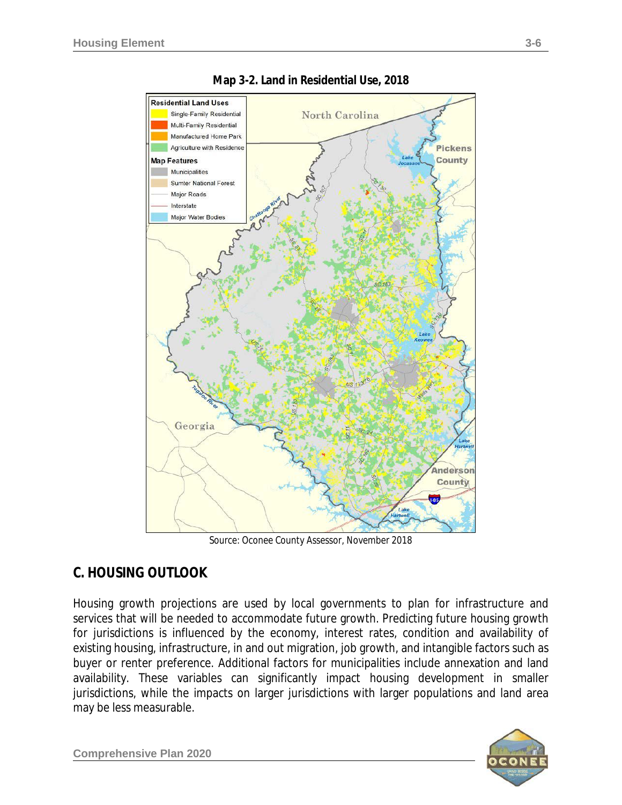

**Map 3-2. Land in Residential Use, 2018**

*Source: Oconee County Assessor, November 2018*

### **C. HOUSING OUTLOOK**

Housing growth projections are used by local governments to plan for infrastructure and services that will be needed to accommodate future growth. Predicting future housing growth for jurisdictions is influenced by the economy, interest rates, condition and availability of existing housing, infrastructure, in and out migration, job growth, and intangible factors such as buyer or renter preference. Additional factors for municipalities include annexation and land availability. These variables can significantly impact housing development in smaller jurisdictions, while the impacts on larger jurisdictions with larger populations and land area may be less measurable.

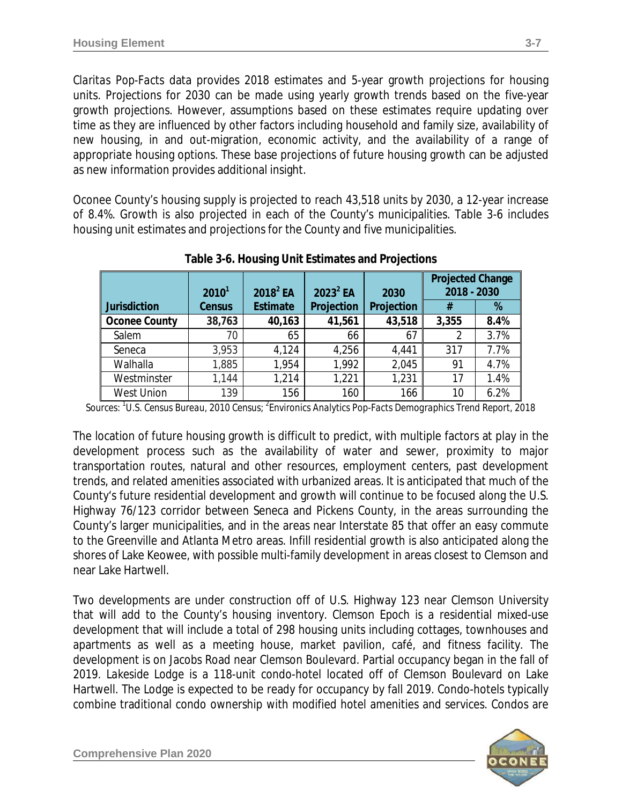*Claritas Pop-Facts* data provides 2018 estimates and 5-year growth projections for housing units. Projections for 2030 can be made using yearly growth trends based on the five-year growth projections. However, assumptions based on these estimates require updating over time as they are influenced by other factors including household and family size, availability of new housing, in and out-migration, economic activity, and the availability of a range of appropriate housing options. These base projections of future housing growth can be adjusted as new information provides additional insight.

Oconee County's housing supply is projected to reach 43,518 units by 2030, a 12-year increase of 8.4%. Growth is also projected in each of the County's municipalities. Table 3-6 includes housing unit estimates and projections for the County and five municipalities.

|                      | $2010^1$      | $2018^2$ EA     | $2023^2$ EA | 2030       | <b>Projected Change</b><br>2018 - 2030 |      |
|----------------------|---------------|-----------------|-------------|------------|----------------------------------------|------|
| Jurisdiction         | <b>Census</b> | <b>Estimate</b> | Projection  | Projection | #                                      | %    |
| <b>Oconee County</b> | 38,763        | 40,163          | 41,561      | 43,518     | 3,355                                  | 8.4% |
| Salem                | 70            | 65              | 66          | 67         | 2                                      | 3.7% |
| Seneca               | 3,953         | 4,124           | 4,256       | 4,441      | 317                                    | 7.7% |
| Walhalla             | 1,885         | 1,954           | 1,992       | 2,045      | 91                                     | 4.7% |
| Westminster          | 1,144         | 1,214           | 1,221       | 1,231      | 17                                     | 1.4% |
| <b>West Union</b>    | 139           | 156             | 160         | 166        | 10                                     | 6.2% |

**Table 3-6. Housing Unit Estimates and Projections**

*Sources: <sup>1</sup> U.S. Census Bureau, 2010 Census; <sup>2</sup> Environics Analytics Pop-Facts Demographics Trend Report, 2018*

The location of future housing growth is difficult to predict, with multiple factors at play in the development process such as the availability of water and sewer, proximity to major transportation routes, natural and other resources, employment centers, past development trends, and related amenities associated with urbanized areas. It is anticipated that much of the County's future residential development and growth will continue to be focused along the U.S. Highway 76/123 corridor between Seneca and Pickens County, in the areas surrounding the County's larger municipalities, and in the areas near Interstate 85 that offer an easy commute to the Greenville and Atlanta Metro areas. Infill residential growth is also anticipated along the shores of Lake Keowee, with possible multi-family development in areas closest to Clemson and near Lake Hartwell.

Two developments are under construction off of U.S. Highway 123 near Clemson University that will add to the County's housing inventory. *Clemson Epoch* is a residential mixed-use development that will include a total of 298 housing units including cottages, townhouses and apartments as well as a meeting house, market pavilion, café, and fitness facility. The development is on Jacobs Road near Clemson Boulevard. Partial occupancy began in the fall of 2019. *Lakeside Lodge* is a 118-unit condo-hotel located off of Clemson Boulevard on Lake Hartwell. The Lodge is expected to be ready for occupancy by fall 2019. Condo-hotels typically combine traditional condo ownership with modified hotel amenities and services. Condos are

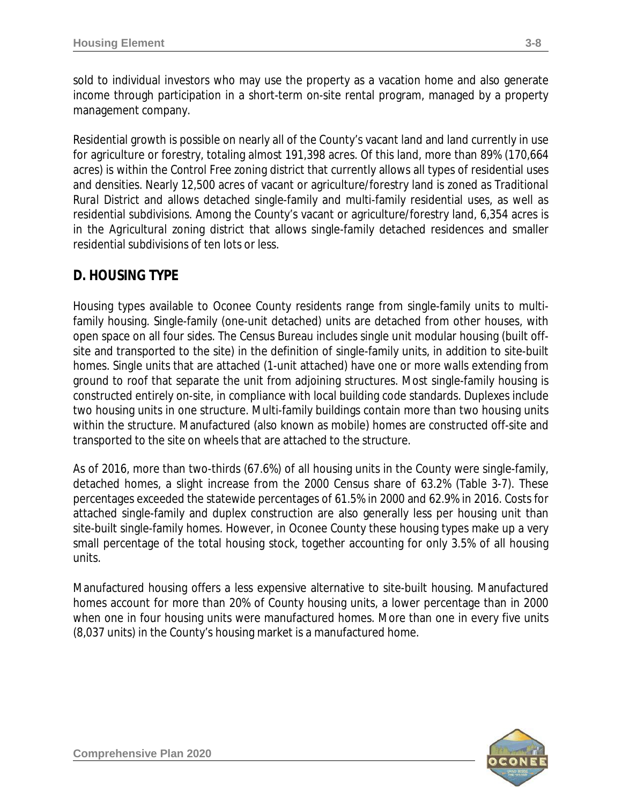sold to individual investors who may use the property as a vacation home and also generate income through participation in a short-term on-site rental program, managed by a property management company.

Residential growth is possible on nearly all of the County's vacant land and land currently in use for agriculture or forestry, totaling almost 191,398 acres. Of this land, more than 89% (170,664 acres) is within the *Control Free* zoning district that currently allows all types of residential uses and densities. Nearly 12,500 acres of vacant or agriculture/forestry land is zoned as *Traditional Rural District* and allows detached single-family and multi-family residential uses, as well as residential subdivisions. Among the County's vacant or agriculture/forestry land, 6,354 acres is in the *Agricultural* zoning district that allows single-family detached residences and smaller residential subdivisions of ten lots or less.

# **D. HOUSING TYPE**

Housing types available to Oconee County residents range from single-family units to multifamily housing. Single-family (one-unit detached) units are detached from other houses, with open space on all four sides. The Census Bureau includes single unit modular housing (built offsite and transported to the site) in the definition of single-family units, in addition to site-built homes. Single units that are attached (1-unit attached) have one or more walls extending from ground to roof that separate the unit from adjoining structures. Most single-family housing is constructed entirely on-site, in compliance with local building code standards. Duplexes include two housing units in one structure. Multi-family buildings contain more than two housing units within the structure. Manufactured (also known as mobile) homes are constructed off-site and transported to the site on wheels that are attached to the structure.

As of 2016, more than two-thirds (67.6%) of all housing units in the County were single-family, detached homes, a slight increase from the 2000 Census share of 63.2% (Table 3-7). These percentages exceeded the statewide percentages of 61.5% in 2000 and 62.9% in 2016. Costs for attached single-family and duplex construction are also generally less per housing unit than site-built single-family homes. However, in Oconee County these housing types make up a very small percentage of the total housing stock, together accounting for only 3.5% of all housing units.

Manufactured housing offers a less expensive alternative to site-built housing. Manufactured homes account for more than 20% of County housing units, a lower percentage than in 2000 when one in four housing units were manufactured homes. More than one in every five units (8,037 units) in the County's housing market is a manufactured home.

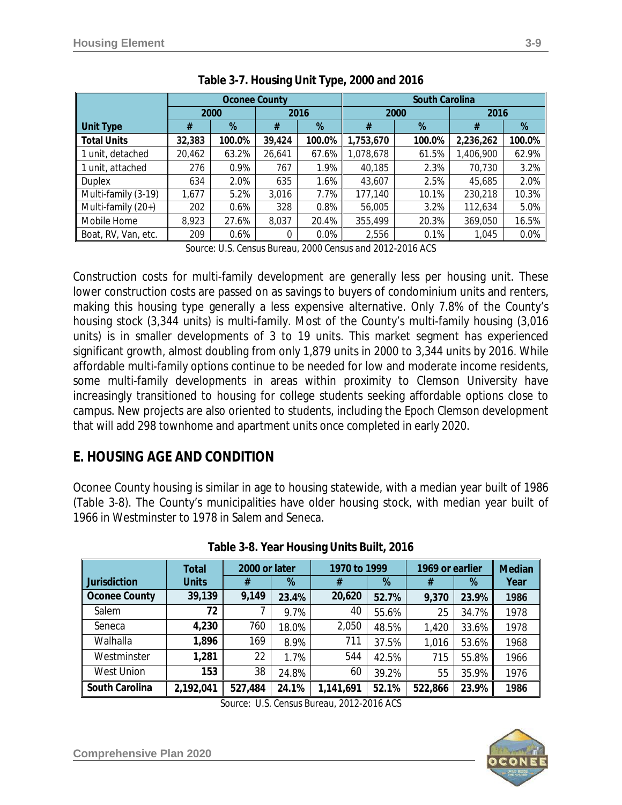|                     |        | <b>Oconee County</b> |        |        | <b>South Carolina</b> |        |           |         |  |
|---------------------|--------|----------------------|--------|--------|-----------------------|--------|-----------|---------|--|
|                     |        | 2000                 | 2016   |        |                       | 2000   | 2016      |         |  |
| <b>Unit Type</b>    | #      | %                    | #      | %      | #                     | %      | #         | %       |  |
| <b>Total Units</b>  | 32,383 | 100.0%               | 39,424 | 100.0% | 1,753,670             | 100.0% | 2,236,262 | 100.0%  |  |
| 1 unit, detached    | 20,462 | 63.2%                | 26,641 | 67.6%  | 1,078,678             | 61.5%  | 1,406,900 | 62.9%   |  |
| 1 unit, attached    | 276    | $0.9\%$              | 767    | 1.9%   | 40.185                | 2.3%   | 70,730    | 3.2%    |  |
| Duplex              | 634    | 2.0%                 | 635    | 1.6%   | 43,607                | 2.5%   | 45,685    | 2.0%    |  |
| Multi-family (3-19) | 1,677  | 5.2%                 | 3,016  | 7.7%   | 177,140               | 10.1%  | 230,218   | 10.3%   |  |
| Multi-family (20+)  | 202    | 0.6%                 | 328    | 0.8%   | 56,005                | 3.2%   | 112,634   | 5.0%    |  |
| Mobile Home         | 8,923  | 27.6%                | 8,037  | 20.4%  | 355,499               | 20.3%  | 369,050   | 16.5%   |  |
| Boat, RV, Van, etc. | 209    | 0.6%                 | 0      | 0.0%   | 2,556                 | 0.1%   | 1,045     | $0.0\%$ |  |

*Source: U.S. Census Bureau, 2000 Census and 2012-2016 ACS*

Construction costs for multi-family development are generally less per housing unit. These lower construction costs are passed on as savings to buyers of condominium units and renters, making this housing type generally a less expensive alternative. Only 7.8% of the County's housing stock (3,344 units) is multi-family. Most of the County's multi-family housing (3,016 units) is in smaller developments of 3 to 19 units. This market segment has experienced significant growth, almost doubling from only 1,879 units in 2000 to 3,344 units by 2016. While affordable multi-family options continue to be needed for low and moderate income residents, some multi-family developments in areas within proximity to Clemson University have increasingly transitioned to housing for college students seeking affordable options close to campus. New projects are also oriented to students, including the *Epoch Clemson* development that will add 298 townhome and apartment units once completed in early 2020.

### **E. HOUSING AGE AND CONDITION**

Oconee County housing is similar in age to housing statewide, with a median year built of 1986 (Table 3-8). The County's municipalities have older housing stock, with median year built of 1966 in Westminster to 1978 in Salem and Seneca.

|                      | Total        | 2000 or later |       | 1970 to 1999 |       | 1969 or earlier |       | <b>Median</b> |  |
|----------------------|--------------|---------------|-------|--------------|-------|-----------------|-------|---------------|--|
| <b>Jurisdiction</b>  | <b>Units</b> | #             | %     | #            | %     | #               | %     | Year          |  |
| <b>Oconee County</b> | 39,139       | 9,149         | 23.4% | 20,620       | 52.7% | 9,370           | 23.9% | 1986          |  |
| Salem                | 72           |               | 9.7%  | 40           | 55.6% | 25              | 34.7% | 1978          |  |
| Seneca               | 4,230        | 760           | 18.0% | 2,050        | 48.5% | 1,420           | 33.6% | 1978          |  |
| Walhalla             | 1,896        | 169           | 8.9%  | 711          | 37.5% | 1,016           | 53.6% | 1968          |  |
| Westminster          | 1,281        | 22            | 1.7%  | 544          | 42.5% | 715             | 55.8% | 1966          |  |
| <b>West Union</b>    | 153          | 38            | 24.8% | 60           | 39.2% | 55              | 35.9% | 1976          |  |
| South Carolina       | 2,192,041    | 527,484       | 24.1% | 1,141,691    | 52.1% | 522,866         | 23.9% | 1986          |  |

| Table 3-8. Year Housing Units Built, 2016 |  |  |  |  |  |
|-------------------------------------------|--|--|--|--|--|
|-------------------------------------------|--|--|--|--|--|



*Source: U.S. Census Bureau, 2012-2016 ACS*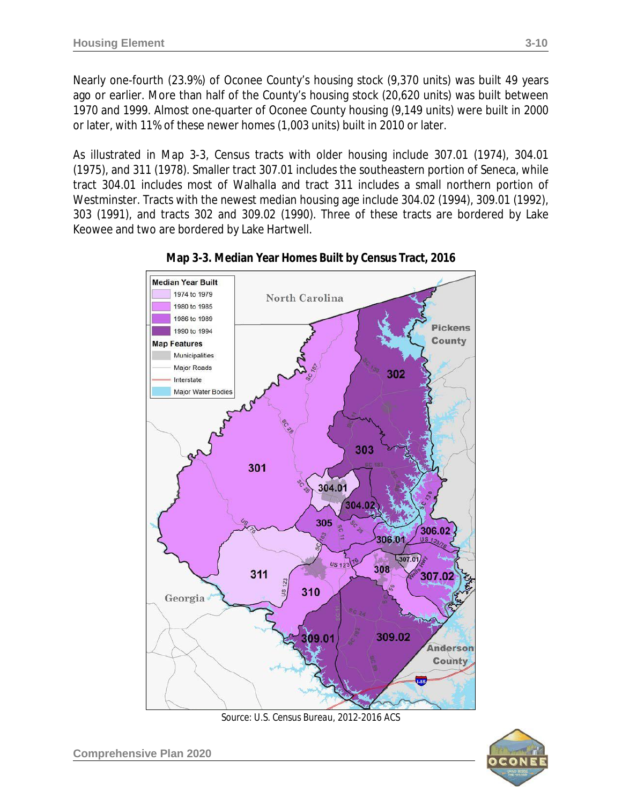Nearly one-fourth (23.9%) of Oconee County's housing stock (9,370 units) was built 49 years ago or earlier. More than half of the County's housing stock (20,620 units) was built between 1970 and 1999. Almost one-quarter of Oconee County housing (9,149 units) were built in 2000 or later, with 11% of these newer homes (1,003 units) built in 2010 or later.

As illustrated in Map 3-3, Census tracts with older housing include 307.01 (1974), 304.01 (1975), and 311 (1978). Smaller tract 307.01 includes the southeastern portion of Seneca, while tract 304.01 includes most of Walhalla and tract 311 includes a small northern portion of Westminster. Tracts with the newest median housing age include 304.02 (1994), 309.01 (1992), 303 (1991), and tracts 302 and 309.02 (1990). Three of these tracts are bordered by Lake Keowee and two are bordered by Lake Hartwell.





*Source: U.S. Census Bureau, 2012-2016 ACS*

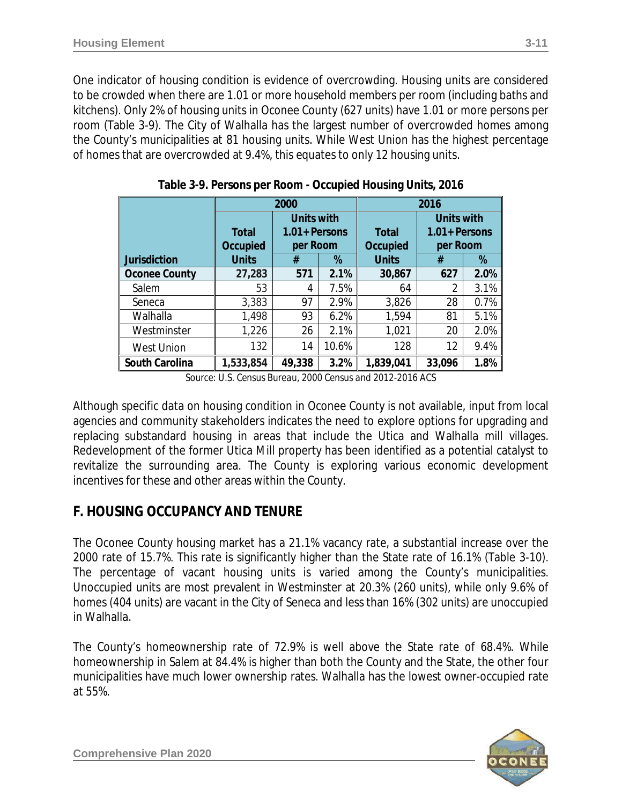One indicator of housing condition is evidence of overcrowding. Housing units are considered to be crowded when there are 1.01 or more household members per room (including baths and kitchens). Only 2% of housing units in Oconee County (627 units) have 1.01 or more persons per room (Table 3-9). The City of Walhalla has the largest number of overcrowded homes among the County's municipalities at 81 housing units. While West Union has the highest percentage of homes that are overcrowded at 9.4%, this equates to only 12 housing units.

|                       |              | 2000              |      | 2016         |                   |      |  |  |
|-----------------------|--------------|-------------------|------|--------------|-------------------|------|--|--|
|                       |              | <b>Units with</b> |      |              | <b>Units with</b> |      |  |  |
|                       | <b>Total</b> | $1.01 +$ Persons  |      | <b>Total</b> | $1.01 +$ Persons  |      |  |  |
|                       | Occupied     | per Room          |      | Occupied     | per Room          |      |  |  |
| <b>Jurisdiction</b>   | <b>Units</b> | #                 | %    | <b>Units</b> | #                 | %    |  |  |
| <b>Oconee County</b>  | 27,283       | 571               | 2.1% | 30,867       | 627               | 2.0% |  |  |
| Salem                 | 53           | 4                 | 7.5% | 64           | 2                 | 3.1% |  |  |
| Seneca                | 3,383        | 97                | 2.9% | 3,826        | 28                | 0.7% |  |  |
| Walhalla              | 1,498        | 93                | 6.2% | 1,594        | 81                | 5.1% |  |  |
| Westminster           | 1,226        | 26                | 2.1% | 1,021        | 20                | 2.0% |  |  |
| <b>West Union</b>     | 132          | 10.6%<br>14       |      | 128          | 12                | 9.4% |  |  |
| <b>South Carolina</b> | 1,533,854    | 49,338            | 3.2% | 1,839,041    | 33,096            | 1.8% |  |  |

**Table 3-9. Persons per Room - Occupied Housing Units, 2016**

*Source: U.S. Census Bureau, 2000 Census and 2012-2016 ACS*

Although specific data on housing condition in Oconee County is not available, input from local agencies and community stakeholders indicates the need to explore options for upgrading and replacing substandard housing in areas that include the Utica and Walhalla mill villages. Redevelopment of the former Utica Mill property has been identified as a potential catalyst to revitalize the surrounding area. The County is exploring various economic development incentives for these and other areas within the County.

### **F. HOUSING OCCUPANCY AND TENURE**

The Oconee County housing market has a 21.1% vacancy rate, a substantial increase over the 2000 rate of 15.7%. This rate is significantly higher than the State rate of 16.1% (Table 3-10). The percentage of vacant housing units is varied among the County's municipalities. Unoccupied units are most prevalent in Westminster at 20.3% (260 units), while only 9.6% of homes (404 units) are vacant in the City of Seneca and less than 16% (302 units) are unoccupied in Walhalla.

The County's homeownership rate of 72.9% is well above the State rate of 68.4%. While homeownership in Salem at 84.4% is higher than both the County and the State, the other four municipalities have much lower ownership rates. Walhalla has the lowest owner-occupied rate at 55%.

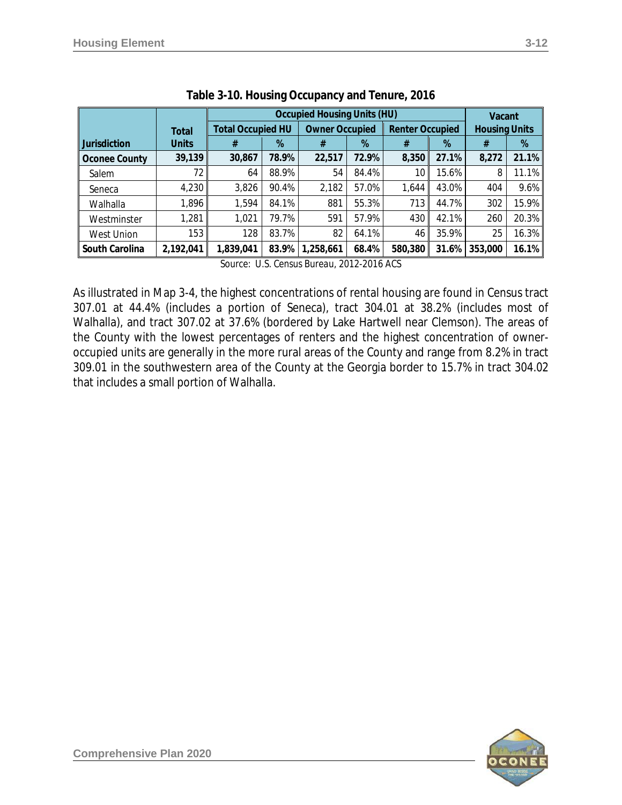|              |                                                                             |       | Vacant    |                      |         |                                                                                                                                                        |         |       |
|--------------|-----------------------------------------------------------------------------|-------|-----------|----------------------|---------|--------------------------------------------------------------------------------------------------------------------------------------------------------|---------|-------|
| <b>Total</b> | <b>Total Occupied HU</b><br><b>Owner Occupied</b><br><b>Renter Occupied</b> |       |           | <b>Housing Units</b> |         |                                                                                                                                                        |         |       |
| <b>Units</b> | #                                                                           | %     | #         | %                    | #       | %                                                                                                                                                      | #       | %     |
| 39,139       | 30,867                                                                      | 78.9% | 22,517    | 72.9%                | 8,350   | 27.1%                                                                                                                                                  | 8,272   | 21.1% |
| 72           | 64                                                                          | 88.9% | 54        | 84.4%                | 10      | 15.6%                                                                                                                                                  | 8       | 11.1% |
|              | 3,826                                                                       | 90.4% | 2,182     | 57.0%                | 1.644   | 43.0%                                                                                                                                                  | 404     | 9.6%  |
| 1,896        | 1,594                                                                       | 84.1% | 881       | 55.3%                | 713     | 44.7%                                                                                                                                                  | 302     | 15.9% |
| 1,281        | 1,021                                                                       | 79.7% | 591       | 57.9%                | 430     | 42.1%                                                                                                                                                  | 260     | 20.3% |
| 153          | 128                                                                         | 83.7% | 82        | 64.1%                | 46      | 35.9%                                                                                                                                                  | 25      | 16.3% |
| 2,192,041    | 1,839,041                                                                   | 83.9% | 1,258,661 | 68.4%                | 580,380 | 31.6%                                                                                                                                                  | 353,000 | 16.1% |
|              |                                                                             | 4,230 |           |                      |         | <b>Occupied Housing Units (HU)</b><br>$C_{21}$ $1000$ $C_{21}$ $1000$ $R_{11}$ $R_{21}$ $R_{12}$ $R_{21}$ $R_{22}$ $R_{23}$ $R_{34}$ $R_{35}$ $R_{36}$ |         |       |

*Source: U.S. Census Bureau, 2012-2016 ACS*

As illustrated in Map 3-4, the highest concentrations of rental housing are found in Census tract 307.01 at 44.4% (includes a portion of Seneca), tract 304.01 at 38.2% (includes most of Walhalla), and tract 307.02 at 37.6% (bordered by Lake Hartwell near Clemson). The areas of the County with the lowest percentages of renters and the highest concentration of owneroccupied units are generally in the more rural areas of the County and range from 8.2% in tract 309.01 in the southwestern area of the County at the Georgia border to 15.7% in tract 304.02 that includes a small portion of Walhalla.

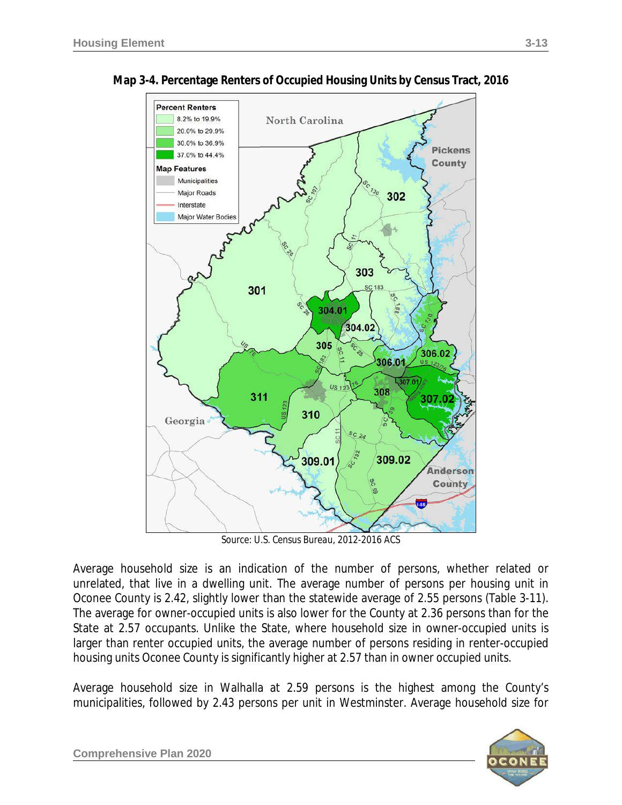

**Map 3-4. Percentage Renters of Occupied Housing Units by Census Tract, 2016**

*Source: U.S. Census Bureau, 2012-2016 ACS*

Average household size is an indication of the number of persons, whether related or unrelated, that live in a dwelling unit. The average number of persons per housing unit in Oconee County is 2.42, slightly lower than the statewide average of 2.55 persons (Table 3-11). The average for owner-occupied units is also lower for the County at 2.36 persons than for the State at 2.57 occupants. Unlike the State, where household size in owner-occupied units is larger than renter occupied units, the average number of persons residing in renter-occupied housing units Oconee County is significantly higher at 2.57 than in owner occupied units.

Average household size in Walhalla at 2.59 persons is the highest among the County's municipalities, followed by 2.43 persons per unit in Westminster. Average household size for

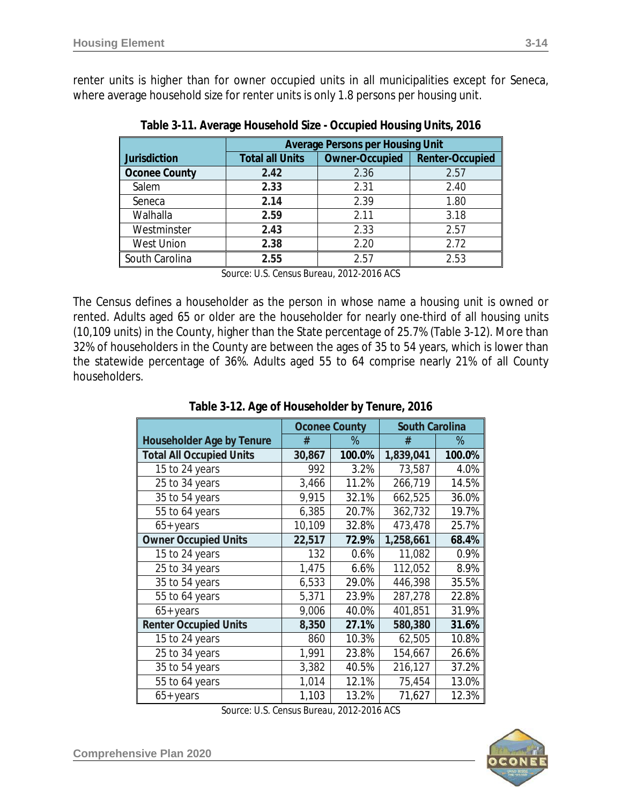renter units is higher than for owner occupied units in all municipalities except for Seneca, where average household size for renter units is only 1.8 persons per housing unit.

| <b>Average Persons per Housing Unit</b> |                       |                        |  |  |  |  |  |
|-----------------------------------------|-----------------------|------------------------|--|--|--|--|--|
| <b>Total all Units</b>                  | <b>Owner-Occupied</b> | <b>Renter-Occupied</b> |  |  |  |  |  |
| 2.42                                    | 2.36                  | 2.57                   |  |  |  |  |  |
| 2.33                                    | 2.31                  | 2.40                   |  |  |  |  |  |
| 2.14                                    | 2.39                  | 1.80                   |  |  |  |  |  |
| 2.59                                    | 2.11                  | 3.18                   |  |  |  |  |  |
| 2.43                                    | 2.33                  | 2.57                   |  |  |  |  |  |
| 2.38                                    | 2.20                  | 2.72                   |  |  |  |  |  |
| 2.55                                    | 2.57                  | 2.53                   |  |  |  |  |  |
|                                         |                       |                        |  |  |  |  |  |

**Table 3-11. Average Household Size - Occupied Housing Units, 2016**

*Source: U.S. Census Bureau, 2012-2016 ACS*

The Census defines a householder as the person in whose name a housing unit is owned or rented. Adults aged 65 or older are the householder for nearly one-third of all housing units (10,109 units) in the County, higher than the State percentage of 25.7% (Table 3-12). More than 32% of householders in the County are between the ages of 35 to 54 years, which is lower than the statewide percentage of 36%. Adults aged 55 to 64 comprise nearly 21% of all County householders.

|                                  | <b>Oconee County</b> |        | <b>South Carolina</b> |        |
|----------------------------------|----------------------|--------|-----------------------|--------|
| <b>Householder Age by Tenure</b> | #                    | $\%$   | #                     | $\%$   |
| <b>Total All Occupied Units</b>  | 30,867               | 100.0% | 1,839,041             | 100.0% |
| 15 to 24 years                   | 992                  | 3.2%   | 73,587                | 4.0%   |
| 25 to 34 years                   | 3,466                | 11.2%  | 266,719               | 14.5%  |
| 35 to 54 years                   | 9,915                | 32.1%  | 662,525               | 36.0%  |
| 55 to 64 years                   | 6,385                | 20.7%  | 362,732               | 19.7%  |
| $65+years$                       | 10,109               | 32.8%  | 473,478               | 25.7%  |
| <b>Owner Occupied Units</b>      | 22,517               | 72.9%  | 1,258,661             | 68.4%  |
| 15 to 24 years                   | 132                  | 0.6%   | 11,082                | 0.9%   |
| 25 to 34 years                   | 1,475                | 6.6%   | 112,052               | 8.9%   |
| 35 to 54 years                   | 6,533                | 29.0%  | 446,398               | 35.5%  |
| 55 to 64 years                   | 5,371                | 23.9%  | 287,278               | 22.8%  |
| $65+years$                       | 9,006                | 40.0%  | 401,851               | 31.9%  |
| <b>Renter Occupied Units</b>     | 8,350                | 27.1%  | 580,380               | 31.6%  |
| 15 to 24 years                   | 860                  | 10.3%  | 62,505                | 10.8%  |

**Table 3-12. Age of Householder by Tenure, 2016**

65+ years | 1,103 | 13.2% 71,627 | 12.3% *Source: U.S. Census Bureau, 2012-2016 ACS*

25 to 34 years 1,991 | 23.8% | 154,667 | 26.6% 35 to 54 years 3,382 40.5% 216,127 37.2% 55 to 64 years | 1,014 | 12.1% | 75,454 | 13.0%

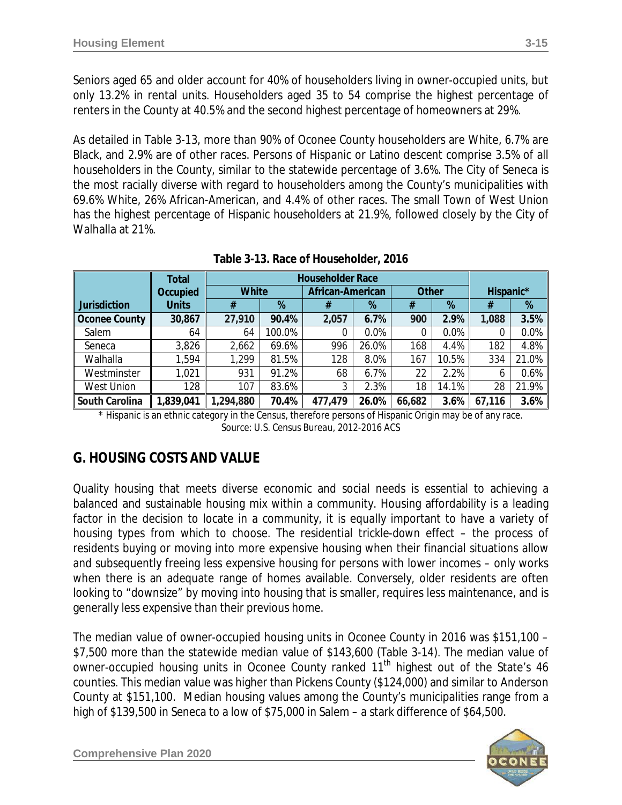Seniors aged 65 and older account for 40% of householders living in owner-occupied units, but only 13.2% in rental units. Householders aged 35 to 54 comprise the highest percentage of renters in the County at 40.5% and the second highest percentage of homeowners at 29%.

As detailed in Table 3-13, more than 90% of Oconee County householders are White, 6.7% are Black, and 2.9% are of other races. Persons of Hispanic or Latino descent comprise 3.5% of all householders in the County, similar to the statewide percentage of 3.6%. The City of Seneca is the most racially diverse with regard to householders among the County's municipalities with 69.6% White, 26% African-American, and 4.4% of other races. The small Town of West Union has the highest percentage of Hispanic householders at 21.9%, followed closely by the City of Walhalla at 21%.

|                     | <b>Total</b> |              | <b>Householder Race</b> |                  |       |              |       |           |       |
|---------------------|--------------|--------------|-------------------------|------------------|-------|--------------|-------|-----------|-------|
|                     | Occupied     | <b>White</b> |                         | African-American |       | <b>Other</b> |       | Hispanic* |       |
| <b>Jurisdiction</b> | <b>Units</b> | #            | %                       | #                | %     | #            | %     | #         | %     |
| Oconee County       | 30,867       | 27,910       | 90.4%                   | 2,057            | 6.7%  | 900          | 2.9%  | 1,088     | 3.5%  |
| Salem               | 64           | 64           | 100.0%                  | 0                | 0.0%  |              | 0.0%  |           | 0.0%  |
| Seneca              | 3,826        | 2,662        | 69.6%                   | 996              | 26.0% | 168          | 4.4%  | 182       | 4.8%  |
| Walhalla            | 1,594        | 1,299        | 81.5%                   | 128              | 8.0%  | 167          | 10.5% | 334       | 21.0% |
| Westminster         | 1,021        | 931          | 91.2%                   | 68               | 6.7%  | 22           | 2.2%  | b         | 0.6%  |
| <b>West Union</b>   | 128          | 107          | 83.6%                   | 3                | 2.3%  | 18           | 14.1% | 28        | 21.9% |
| South Carolina      | 1,839,041    | ,294,880     | 70.4%                   | 477,479          | 26.0% | 66,682       | 3.6%  | 67,116    | 3.6%  |

**Table 3-13. Race of Householder, 2016**

\* Hispanic is an ethnic category in the Census, therefore persons of Hispanic Origin may be of any race. *Source: U.S. Census Bureau, 2012-2016 ACS*

# **G. HOUSING COSTS AND VALUE**

Quality housing that meets diverse economic and social needs is essential to achieving a balanced and sustainable housing mix within a community. Housing affordability is a leading factor in the decision to locate in a community, it is equally important to have a variety of housing types from which to choose. The residential *trickle-down* effect – the process of residents buying or moving into more expensive housing when their financial situations allow and subsequently freeing less expensive housing for persons with lower incomes – only works when there is an adequate range of homes available. Conversely, older residents are often looking to "downsize" by moving into housing that is smaller, requires less maintenance, and is generally less expensive than their previous home.

The median value of owner-occupied housing units in Oconee County in 2016 was \$151,100 – \$7,500 more than the statewide median value of \$143,600 (Table 3-14). The median value of owner-occupied housing units in Oconee County ranked 11<sup>th</sup> highest out of the State's 46 counties. This median value was higher than Pickens County (\$124,000) and similar to Anderson County at \$151,100. Median housing values among the County's municipalities range from a high of \$139,500 in Seneca to a low of \$75,000 in Salem – a stark difference of \$64,500.

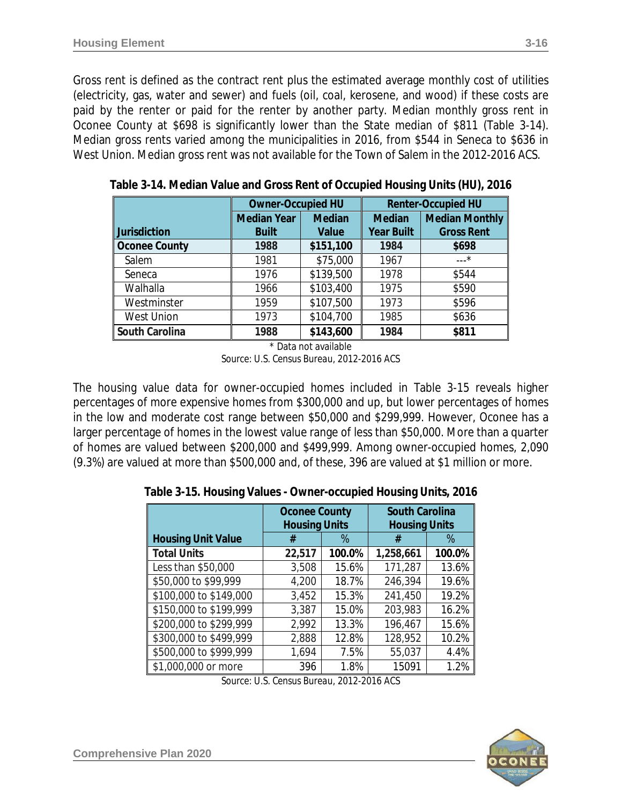Gross rent is defined as the contract rent plus the estimated average monthly cost of utilities (electricity, gas, water and sewer) and fuels (oil, coal, kerosene, and wood) if these costs are paid by the renter or paid for the renter by another party. Median monthly gross rent in Oconee County at \$698 is significantly lower than the State median of \$811 (Table 3-14). Median gross rents varied among the municipalities in 2016, from \$544 in Seneca to \$636 in West Union. Median gross rent was not available for the Town of Salem in the 2012-2016 ACS.

|                      | <b>Owner-Occupied HU</b> |               | <b>Renter-Occupied HU</b> |                       |  |  |
|----------------------|--------------------------|---------------|---------------------------|-----------------------|--|--|
|                      | <b>Median Year</b>       | <b>Median</b> | <b>Median</b>             | <b>Median Monthly</b> |  |  |
| Jurisdiction         | <b>Built</b>             | Value         | <b>Year Built</b>         | <b>Gross Rent</b>     |  |  |
| <b>Oconee County</b> | 1988                     | \$151,100     | 1984                      | \$698                 |  |  |
| Salem                | 1981                     | \$75,000      | 1967                      | $---*$                |  |  |
| Seneca               | 1976                     | \$139,500     | 1978                      | \$544                 |  |  |
| Walhalla             | 1966                     | \$103,400     | 1975                      | \$590                 |  |  |
| Westminster          | 1959                     | \$107,500     | 1973                      | \$596                 |  |  |
| <b>West Union</b>    | 1973                     | \$104,700     | 1985                      | \$636                 |  |  |
| South Carolina       | 1988                     | \$143,600     | 1984                      | \$811                 |  |  |

**Table 3-14. Median Value and Gross Rent of Occupied Housing Units (HU), 2016**

\* Data not available *Source: U.S. Census Bureau, 2012-2016 ACS*

The housing value data for owner-occupied homes included in Table 3-15 reveals higher percentages of more expensive homes from \$300,000 and up, but lower percentages of homes in the low and moderate cost range between \$50,000 and \$299,999. However, Oconee has a larger percentage of homes in the lowest value range of less than \$50,000. More than a quarter of homes are valued between \$200,000 and \$499,999. Among owner-occupied homes, 2,090 (9.3%) are valued at more than \$500,000 and, of these, 396 are valued at \$1 million or more.

**Table 3-15. Housing Values - Owner-occupied Housing Units, 2016**

|                           | <b>Oconee County</b><br><b>Housing Units</b> |        | <b>South Carolina</b><br><b>Housing Units</b> |        |  |
|---------------------------|----------------------------------------------|--------|-----------------------------------------------|--------|--|
| <b>Housing Unit Value</b> | #                                            | %      | #                                             | $\%$   |  |
| <b>Total Units</b>        | 22,517                                       | 100.0% | 1,258,661                                     | 100.0% |  |
| Less than \$50,000        | 3,508                                        | 15.6%  | 171,287                                       | 13.6%  |  |
| \$50,000 to \$99,999      | 4,200                                        | 18.7%  | 246,394                                       | 19.6%  |  |
| \$100,000 to \$149,000    | 3,452                                        | 15.3%  | 241,450                                       | 19.2%  |  |
| \$150,000 to \$199,999    | 3,387                                        | 15.0%  | 203,983                                       | 16.2%  |  |
| \$200,000 to \$299,999    | 2,992                                        | 13.3%  | 196,467                                       | 15.6%  |  |
| \$300,000 to \$499,999    | 2,888                                        | 12.8%  | 128,952                                       | 10.2%  |  |
| \$500,000 to \$999,999    | 1,694                                        | 7.5%   | 55,037                                        | 4.4%   |  |
| \$1,000,000 or more       | 396                                          | 1.8%   | 15091                                         | 1.2%   |  |

*Source: U.S. Census Bureau, 2012-2016 ACS*

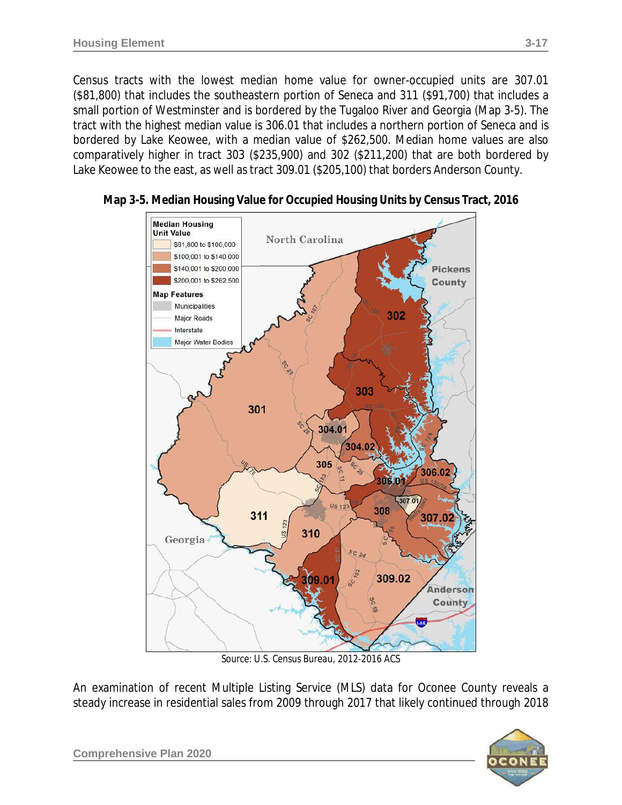Census tracts with the lowest median home value for owner-occupied units are 307.01 (\$81,800) that includes the southeastern portion of Seneca and 311 (\$91,700) that includes a small portion of Westminster and is bordered by the Tugaloo River and Georgia (Map 3-5). The tract with the highest median value is 306.01 that includes a northern portion of Seneca and is bordered by Lake Keowee, with a median value of \$262,500. Median home values are also comparatively higher in tract 303 (\$235,900) and 302 (\$211,200) that are both bordered by Lake Keowee to the east, as well as tract 309.01 (\$205,100) that borders Anderson County.



**Map 3-5. Median Housing Value for Occupied Housing Units by Census Tract, 2016**

*Source: U.S. Census Bureau, 2012-2016 ACS*

An examination of recent Multiple Listing Service (MLS) data for Oconee County reveals a steady increase in residential sales from 2009 through 2017 that likely continued through 2018

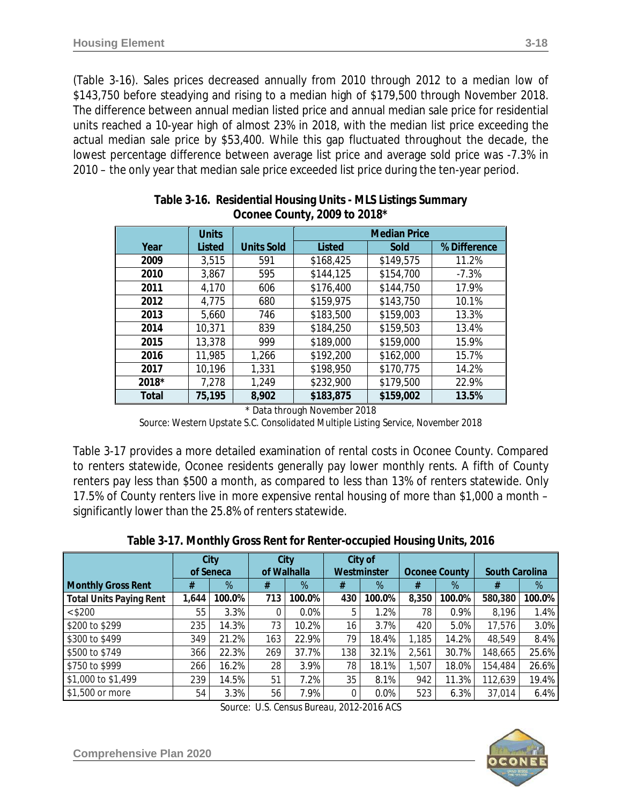(Table 3-16). Sales prices decreased annually from 2010 through 2012 to a median low of \$143,750 before steadying and rising to a median high of \$179,500 through November 2018. The difference between annual median listed price and annual median sale price for residential units reached a 10-year high of almost 23% in 2018, with the median list price exceeding the actual median sale price by \$53,400. While this gap fluctuated throughout the decade, the lowest percentage difference between average list price and average sold price was -7.3% in 2010 – the only year that median sale price exceeded list price during the ten-year period.

|       | <b>Units</b>  |                   | <b>Median Price</b> |           |              |  |  |
|-------|---------------|-------------------|---------------------|-----------|--------------|--|--|
| Year  | <b>Listed</b> | <b>Units Sold</b> | <b>Listed</b>       | Sold      | % Difference |  |  |
| 2009  | 3,515         | 591               | \$168,425           | \$149,575 | 11.2%        |  |  |
| 2010  | 3,867         | 595               | \$144,125           | \$154,700 | $-7.3%$      |  |  |
| 2011  | 4,170         | 606               | \$176,400           | \$144,750 | 17.9%        |  |  |
| 2012  | 4,775         | 680               | \$159,975           | \$143,750 | 10.1%        |  |  |
| 2013  | 5,660         | 746               | \$183,500           | \$159,003 | 13.3%        |  |  |
| 2014  | 10,371        | 839               | \$184,250           | \$159,503 | 13.4%        |  |  |
| 2015  | 13,378        | 999               | \$189,000           | \$159,000 | 15.9%        |  |  |
| 2016  | 11,985        | 1,266             | \$192,200           | \$162,000 | 15.7%        |  |  |
| 2017  | 10,196        | 1,331             | \$198,950           | \$170,775 | 14.2%        |  |  |
| 2018* | 7,278         | 1,249             | \$232,900           | \$179,500 | 22.9%        |  |  |
| Total | 75,195        | 8,902             | \$183,875           | \$159,002 | 13.5%        |  |  |

| Table 3-16. Residential Housing Units - MLS Listings Summary |
|--------------------------------------------------------------|
| Oconee County, 2009 to 2018*                                 |

\* Data through November 2018

*Source: Western Upstate S.C. Consolidated Multiple Listing Service, November 2018*

Table 3-17 provides a more detailed examination of rental costs in Oconee County. Compared to renters statewide, Oconee residents generally pay lower monthly rents. A fifth of County renters pay less than \$500 a month, as compared to less than 13% of renters statewide. Only 17.5% of County renters live in more expensive rental housing of more than \$1,000 a month – significantly lower than the 25.8% of renters statewide.

|  | Table 3-17. Monthly Gross Rent for Renter-occupied Housing Units, 2016 |
|--|------------------------------------------------------------------------|
|  |                                                                        |

|                                |       | City      | <b>City</b> |             | City of |             |       |                      |                       |        |
|--------------------------------|-------|-----------|-------------|-------------|---------|-------------|-------|----------------------|-----------------------|--------|
|                                |       | of Seneca |             | of Walhalla |         | Westminster |       | <b>Oconee County</b> | <b>South Carolina</b> |        |
| <b>Monthly Gross Rent</b>      | #     | %         | #           | %           | #       | %           | #     | %                    | #                     | %      |
| <b>Total Units Paying Rent</b> | 1.644 | 100.0%    | 713         | 100.0%      | 430     | 100.0%      | 8,350 | 100.0%               | 580,380               | 100.0% |
| < \$200                        | 55    | 3.3%      | 0           | 0.0%        | 5       | 1.2%        | 78    | 0.9%                 | 8,196                 | 1.4%   |
| \$200 to \$299                 | 235   | 14.3%     | 73          | 10.2%       | 16      | 3.7%        | 420   | 5.0%                 | 17,576                | 3.0%   |
| \$300 to \$499                 | 349   | 21.2%     | 163         | 22.9%       | 79      | 18.4%       | 1,185 | 14.2%                | 48,549                | 8.4%   |
| \$500 to \$749                 | 366   | 22.3%     | 269         | 37.7%       | 138     | 32.1%       | 2,561 | 30.7%                | 148,665               | 25.6%  |
| \$750 to \$999                 | 266   | 16.2%     | 28          | 3.9%        | 78      | 18.1%       | 1,507 | 18.0%                | 154,484               | 26.6%  |
| \$1,000 to \$1,499             | 239   | 14.5%     | 51          | 7.2%        | 35      | 8.1%        | 942   | 11.3%                | 12,639                | 19.4%  |
| \$1,500 or more                | 54    | 3.3%      | 56          | 7.9%        |         | 0.0%        | 523   | 6.3%                 | 37,014                | 6.4%   |

*Source: U.S. Census Bureau, 2012-2016 ACS*

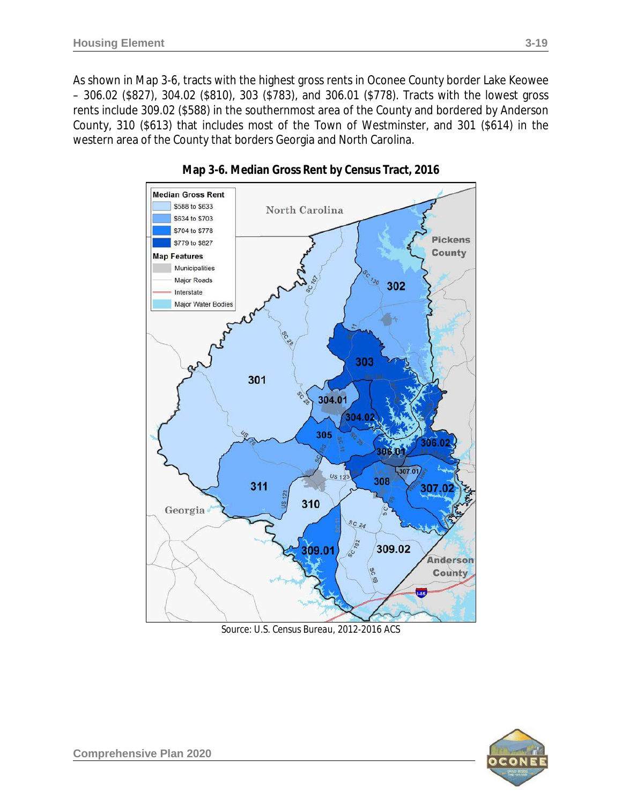As shown in Map 3-6, tracts with the highest gross rents in Oconee County border Lake Keowee – 306.02 (\$827), 304.02 (\$810), 303 (\$783), and 306.01 (\$778). Tracts with the lowest gross rents include 309.02 (\$588) in the southernmost area of the County and bordered by Anderson County, 310 (\$613) that includes most of the Town of Westminster, and 301 (\$614) in the western area of the County that borders Georgia and North Carolina.



**Map 3-6. Median Gross Rent by Census Tract, 2016**

*Source: U.S. Census Bureau, 2012-2016 ACS*

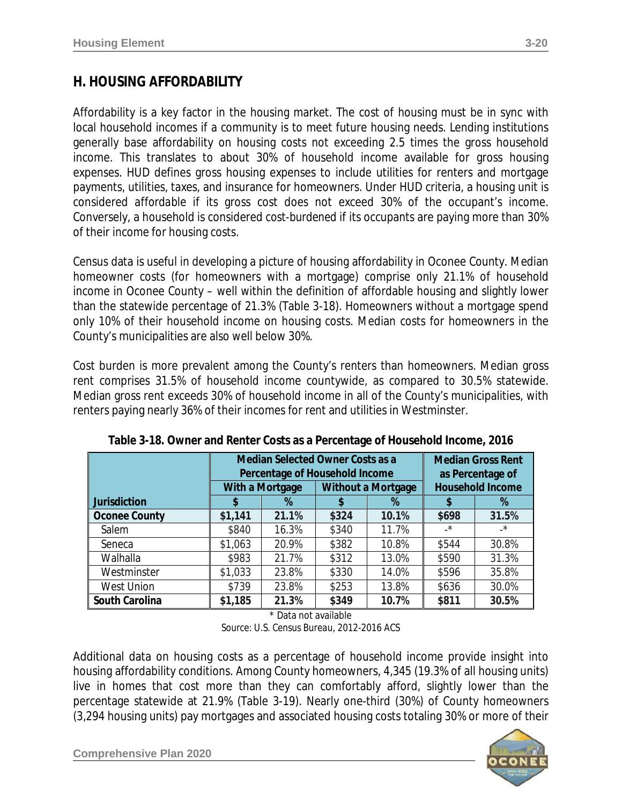# **H. HOUSING AFFORDABILITY**

Affordability is a key factor in the housing market. The cost of housing must be in sync with local household incomes if a community is to meet future housing needs. Lending institutions generally base affordability on housing costs not exceeding 2.5 times the gross household income. This translates to about 30% of household income available for gross housing expenses. HUD defines gross housing expenses to include utilities for renters and mortgage payments, utilities, taxes, and insurance for homeowners. Under HUD criteria, a housing unit is considered *affordable* if its gross cost does not exceed 30% of the occupant's income. Conversely, a household is considered *cost-burdened* if its occupants are paying more than 30% of their income for housing costs.

Census data is useful in developing a picture of housing affordability in Oconee County. Median homeowner costs (for homeowners with a mortgage) comprise only 21.1% of household income in Oconee County – well within the definition of affordable housing and slightly lower than the statewide percentage of 21.3% (Table 3-18). Homeowners without a mortgage spend only 10% of their household income on housing costs. Median costs for homeowners in the County's municipalities are also well below 30%.

Cost burden is more prevalent among the County's renters than homeowners. Median gross rent comprises 31.5% of household income countywide, as compared to 30.5% statewide. Median gross rent exceeds 30% of household income in all of the County's municipalities, with renters paying nearly 36% of their incomes for rent and utilities in Westminster.

|                      |         | <b>Median Selected Owner Costs as a</b><br>Percentage of Household Income | <b>Median Gross Rent</b><br>as Percentage of |                           |           |                         |
|----------------------|---------|---------------------------------------------------------------------------|----------------------------------------------|---------------------------|-----------|-------------------------|
|                      |         | With a Mortgage                                                           |                                              | <b>Without a Mortgage</b> |           | <b>Household Income</b> |
| <b>Jurisdiction</b>  |         | %                                                                         | \$                                           | %                         |           | %                       |
| <b>Oconee County</b> | \$1,141 | 21.1%                                                                     | \$324                                        | 10.1%                     | \$698     | 31.5%                   |
| Salem                | \$840   | 16.3%                                                                     | \$340                                        | 11.7%                     | $\cdot^*$ | $\cdot$ *               |
| Seneca               | \$1,063 | 20.9%                                                                     | \$382                                        | 10.8%                     | \$544     | 30.8%                   |
| Walhalla             | \$983   | 21.7%                                                                     | \$312                                        | 13.0%                     | \$590     | 31.3%                   |
| Westminster          | \$1,033 | 23.8%                                                                     | \$330                                        | 14.0%                     | \$596     | 35.8%                   |
| West Union           | \$739   | 23.8%                                                                     | \$253                                        | 13.8%                     | \$636     | 30.0%                   |
| South Carolina       | \$1,185 | 21.3%                                                                     | \$349                                        | 10.7%                     | \$811     | 30.5%                   |

**Table 3-18. Owner and Renter Costs as a Percentage of Household Income, 2016**

\* Data not available *Source: U.S. Census Bureau, 2012-2016 ACS*

Additional data on housing costs as a percentage of household income provide insight into housing affordability conditions. Among County homeowners, 4,345 (19.3% of all housing units) live in homes that cost more than they can comfortably afford, slightly lower than the percentage statewide at 21.9% (Table 3-19). Nearly one-third (30%) of County homeowners (3,294 housing units) pay mortgages and associated housing costs totaling 30% or more of their

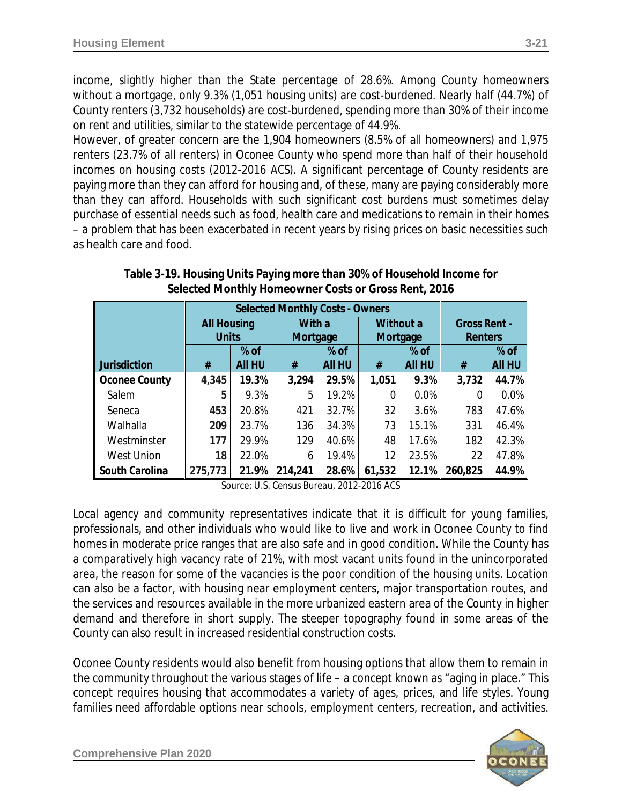income, slightly higher than the State percentage of 28.6%. Among County homeowners without a mortgage, only 9.3% (1,051 housing units) are cost-burdened. Nearly half (44.7%) of County renters (3,732 households) are cost-burdened, spending more than 30% of their income on rent and utilities, similar to the statewide percentage of 44.9%.

However, of greater concern are the 1,904 homeowners (8.5% of all homeowners) and 1,975 renters (23.7% of all renters) in Oconee County who spend more than half of their household incomes on housing costs *(2012-2016 ACS)*. A significant percentage of County residents are paying more than they can afford for housing and, of these, many are paying considerably more than they can afford. Households with such significant cost burdens must sometimes delay purchase of essential needs such as food, health care and medications to remain in their homes – a problem that has been exacerbated in recent years by rising prices on basic necessities such as health care and food.

|                      | <b>All Housing</b> |               | With a   |               | Without a |               | <b>Gross Rent -</b> |               |
|----------------------|--------------------|---------------|----------|---------------|-----------|---------------|---------------------|---------------|
|                      | <b>Units</b>       |               | Mortgage |               |           | Mortgage      | Renters             |               |
|                      |                    | $%$ of        |          | $%$ of        |           | $%$ of        |                     | $%$ of        |
| <b>Jurisdiction</b>  | #                  | <b>All HU</b> | #        | <b>AII HU</b> | #         | <b>All HU</b> | #                   | <b>AII HU</b> |
| <b>Oconee County</b> | 4,345              | 19.3%         | 3,294    | 29.5%         | 1,051     | 9.3%          | 3,732               | 44.7%         |
| Salem                | 5                  | 9.3%          | 5        | 19.2%         | 0         | 0.0%          | 0                   | $0.0\%$       |
| Seneca               | 453                | 20.8%         | 421      | 32.7%         | 32        | 3.6%          | 783                 | 47.6%         |
| Walhalla             | 209                | 23.7%         | 136      | 34.3%         | 73        | 15.1%         | 331                 | 46.4%         |
| Westminster          | 177                | 29.9%         | 129      | 40.6%         | 48        | 17.6%         | 182                 | 42.3%         |
| <b>West Union</b>    | 18                 | 22.0%         | 6        | 19.4%         | 12        | 23.5%         | 22                  | 47.8%         |
| South Carolina       | 275,773            | 21.9%         | 214,241  | 28.6%         | 61,532    | 12.1%         | 260,825             | 44.9%         |

**Table 3-19. Housing Units Paying more than 30% of Household Income for Selected Monthly Homeowner Costs or Gross Rent, 2016**

*Source: U.S. Census Bureau, 2012-2016 ACS*

Local agency and community representatives indicate that it is difficult for young families, professionals, and other individuals who would like to live and work in Oconee County to find homes in moderate price ranges that are also safe and in good condition. While the County has a comparatively high vacancy rate of 21%, with most vacant units found in the unincorporated area, the reason for some of the vacancies is the poor condition of the housing units. Location can also be a factor, with housing near employment centers, major transportation routes, and the services and resources available in the more urbanized eastern area of the County in higher demand and therefore in short supply. The steeper topography found in some areas of the County can also result in increased residential construction costs.

Oconee County residents would also benefit from housing options that allow them to remain in the community throughout the various stages of life – a concept known as "aging in place." This concept requires housing that accommodates a variety of ages, prices, and life styles. Young families need affordable options near schools, employment centers, recreation, and activities.

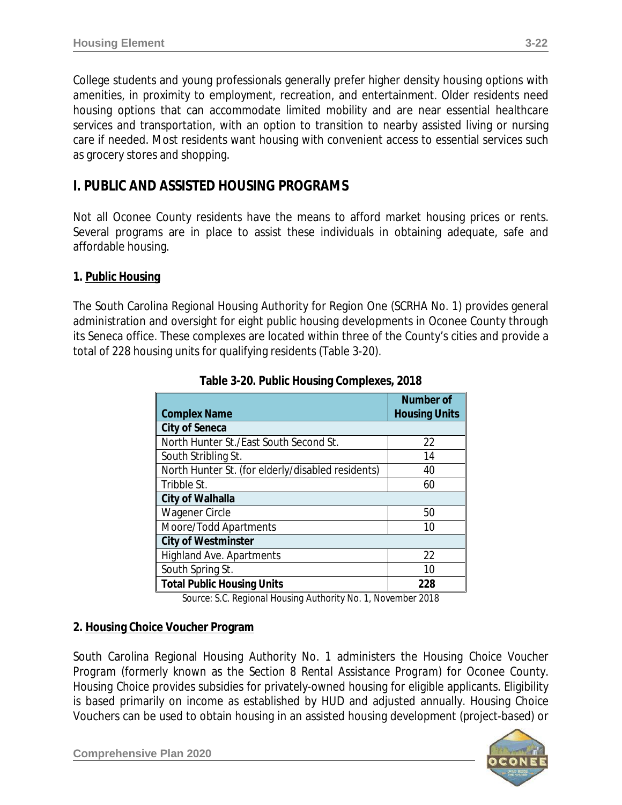College students and young professionals generally prefer higher density housing options with amenities, in proximity to employment, recreation, and entertainment. Older residents need housing options that can accommodate limited mobility and are near essential healthcare services and transportation, with an option to transition to nearby assisted living or nursing care if needed. Most residents want housing with convenient access to essential services such as grocery stores and shopping.

# **I. PUBLIC AND ASSISTED HOUSING PROGRAMS**

Not all Oconee County residents have the means to afford market housing prices or rents. Several programs are in place to assist these individuals in obtaining adequate, safe and affordable housing.

#### **1. Public Housing**

The South Carolina Regional Housing Authority for Region One (SCRHA No. 1) provides general administration and oversight for eight public housing developments in Oconee County through its Seneca office. These complexes are located within three of the County's cities and provide a total of 228 housing units for qualifying residents (Table 3-20).

| <b>Complex Name</b>                               | <b>Number of</b><br><b>Housing Units</b> |
|---------------------------------------------------|------------------------------------------|
| <b>City of Seneca</b>                             |                                          |
| North Hunter St./East South Second St.            | 22                                       |
| South Stribling St.                               | 14                                       |
| North Hunter St. (for elderly/disabled residents) | 40                                       |
| Tribble St.                                       | 60                                       |
| City of Walhalla                                  |                                          |
| Wagener Circle                                    | 50                                       |
| Moore/Todd Apartments                             | 10                                       |
| <b>City of Westminster</b>                        |                                          |
| <b>Highland Ave. Apartments</b>                   | 22                                       |
| South Spring St.                                  | 10                                       |
| <b>Total Public Housing Units</b>                 | 228                                      |

**Table 3-20. Public Housing Complexes, 2018**

*Source: S.C. Regional Housing Authority No. 1, November 2018*

#### **2. Housing Choice Voucher Program**

South Carolina Regional Housing Authority No. 1 administers the *Housing Choice Voucher Program* (formerly known as the *Section 8 Rental Assistance Program*) for Oconee County. *Housing Choice* provides subsidies for privately-owned housing for eligible applicants. Eligibility is based primarily on income as established by HUD and adjusted annually. Housing Choice Vouchers can be used to obtain housing in an assisted housing development (*project-based*) or

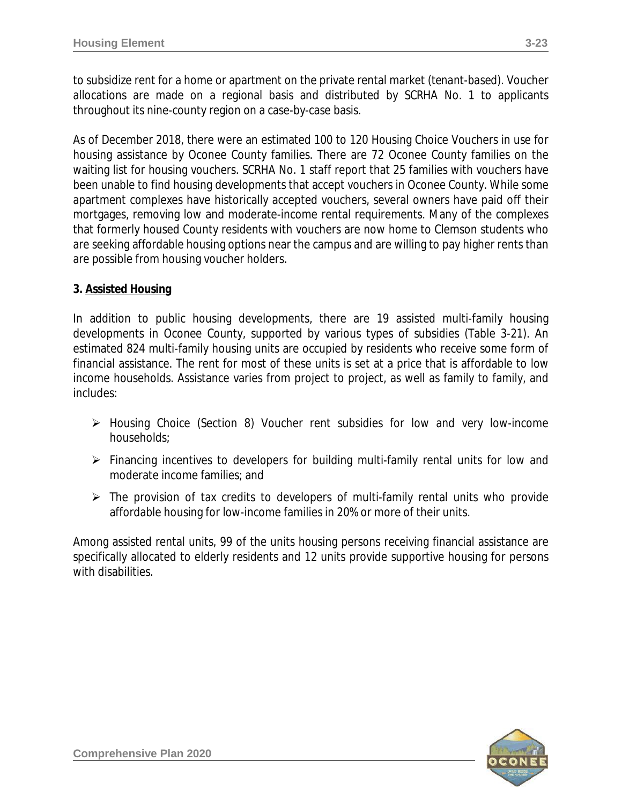to subsidize rent for a home or apartment on the private rental market (*tenant-based*). Voucher allocations are made on a regional basis and distributed by SCRHA No. 1 to applicants throughout its nine-county region on a case-by-case basis.

As of December 2018, there were an estimated 100 to 120 Housing Choice Vouchers in use for housing assistance by Oconee County families. There are 72 Oconee County families on the waiting list for housing vouchers. SCRHA No. 1 staff report that 25 families with vouchers have been unable to find housing developments that accept vouchers in Oconee County. While some apartment complexes have historically accepted vouchers, several owners have paid off their mortgages, removing low and moderate-income rental requirements. Many of the complexes that formerly housed County residents with vouchers are now home to Clemson students who are seeking affordable housing options near the campus and are willing to pay higher rents than are possible from housing voucher holders.

### **3. Assisted Housing**

In addition to public housing developments, there are 19 assisted multi-family housing developments in Oconee County, supported by various types of subsidies (Table 3-21). An estimated 824 multi-family housing units are occupied by residents who receive some form of financial assistance. The rent for most of these units is set at a price that is affordable to low income households. Assistance varies from project to project, as well as family to family, and includes:

- Housing Choice (Section 8) Voucher rent subsidies for low and very low-income households;
- Financing incentives to developers for building multi-family rental units for low and moderate income families; and
- $\triangleright$  The provision of tax credits to developers of multi-family rental units who provide affordable housing for low-income families in 20% or more of their units.

Among assisted rental units, 99 of the units housing persons receiving financial assistance are specifically allocated to elderly residents and 12 units provide supportive housing for persons with disabilities.

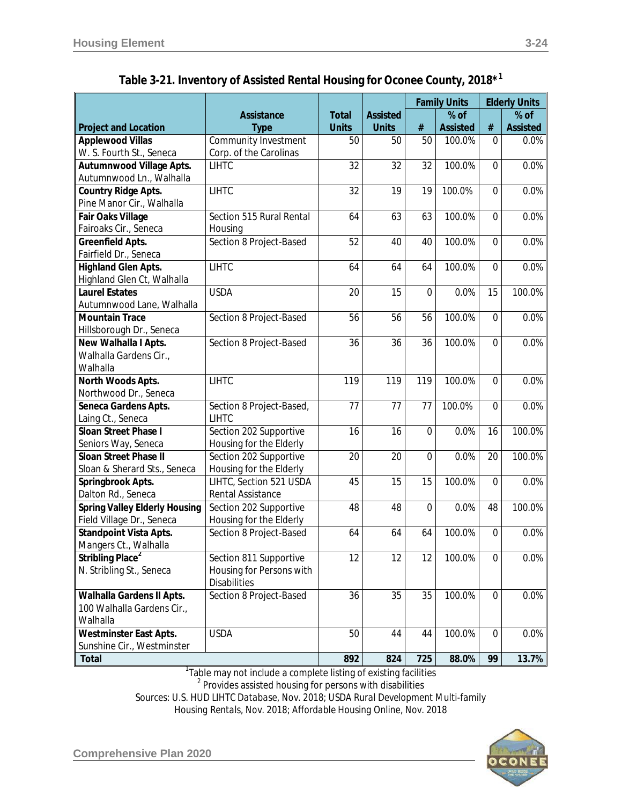**Project and Location**

|    | tal Housing for Oconee County, 2018* <sup>1</sup> |                                 |    |                                                |          |                                                   |  |
|----|---------------------------------------------------|---------------------------------|----|------------------------------------------------|----------|---------------------------------------------------|--|
|    | Total<br><b>Units</b>                             | <b>Assisted</b><br><b>Units</b> | #  | <b>Family Units</b><br>% of<br><b>Assisted</b> | #        | <b>Elderly Units</b><br>$%$ of<br><b>Assisted</b> |  |
|    | 50                                                | 50                              | 50 | 100.0%                                         | 0        | 0.0%                                              |  |
|    | 32                                                | 32                              | 32 | 100.0%                                         | 0        | 0.0%                                              |  |
|    | 32                                                | 19                              | 19 | 100.0%                                         | 0        | 0.0%                                              |  |
| ۱l | 64                                                | 63                              | 63 | 100.0%                                         | $\Omega$ | 0.0%                                              |  |
|    | 52                                                | 40                              | 40 | 100.0%                                         | 0        | 0.0%                                              |  |
|    | 64                                                | 64                              | 64 | 100.0%                                         | 0        | 0.0%                                              |  |

| Table 3-21. Inventory of Assisted Rental Housing for Oconee County, 2018 $^{\star1}$ |  |  |  |  |
|--------------------------------------------------------------------------------------|--|--|--|--|
|--------------------------------------------------------------------------------------|--|--|--|--|

**Assistance Type**

| <b>Applewood Villas</b>              | Community Investment     | 50              | 50              | 50              | 100.0% | 0              | 0.0%   |
|--------------------------------------|--------------------------|-----------------|-----------------|-----------------|--------|----------------|--------|
| W. S. Fourth St., Seneca             | Corp. of the Carolinas   |                 |                 |                 |        |                |        |
| Autumnwood Village Apts.             | <b>LIHTC</b>             | 32              | 32              | 32              | 100.0% | $\mathbf 0$    | 0.0%   |
| Autumnwood Ln., Walhalla             |                          |                 |                 |                 |        |                |        |
| <b>Country Ridge Apts.</b>           | <b>LIHTC</b>             | 32              | $\overline{19}$ | 19              | 100.0% | $\overline{0}$ | 0.0%   |
| Pine Manor Cir., Walhalla            |                          |                 |                 |                 |        |                |        |
| Fair Oaks Village                    | Section 515 Rural Rental | 64              | 63              | 63              | 100.0% | $\mathbf 0$    | 0.0%   |
| Fairoaks Cir., Seneca                | Housing                  |                 |                 |                 |        |                |        |
| <b>Greenfield Apts.</b>              | Section 8 Project-Based  | 52              | 40              | 40              | 100.0% | $\overline{0}$ | 0.0%   |
| Fairfield Dr., Seneca                |                          |                 |                 |                 |        |                |        |
| <b>Highland Glen Apts.</b>           | <b>LIHTC</b>             | 64              | 64              | 64              | 100.0% | $\overline{0}$ | 0.0%   |
| Highland Glen Ct, Walhalla           |                          |                 |                 |                 |        |                |        |
| <b>Laurel Estates</b>                | <b>USDA</b>              | 20              | 15              | $\Omega$        | 0.0%   | 15             | 100.0% |
| Autumnwood Lane, Walhalla            |                          |                 |                 |                 |        |                |        |
| <b>Mountain Trace</b>                | Section 8 Project-Based  | 56              | 56              | $\overline{56}$ | 100.0% | 0              | 0.0%   |
| Hillsborough Dr., Seneca             |                          |                 |                 |                 |        |                |        |
| New Walhalla I Apts.                 | Section 8 Project-Based  | 36              | 36              | 36              | 100.0% | $\mathbf 0$    | 0.0%   |
| Walhalla Gardens Cir.,               |                          |                 |                 |                 |        |                |        |
| Walhalla                             |                          |                 |                 |                 |        |                |        |
| North Woods Apts.                    | <b>LIHTC</b>             | 119             | 119             | 119             | 100.0% | $\overline{0}$ | 0.0%   |
| Northwood Dr., Seneca                |                          |                 |                 |                 |        |                |        |
| Seneca Gardens Apts.                 | Section 8 Project-Based, | 77              | 77              | 77              | 100.0% | 0              | 0.0%   |
| Laing Ct., Seneca                    | <b>LIHTC</b>             |                 |                 |                 |        |                |        |
| Sloan Street Phase I                 | Section 202 Supportive   | 16              | 16              | $\overline{0}$  | 0.0%   | 16             | 100.0% |
| Seniors Way, Seneca                  | Housing for the Elderly  |                 |                 |                 |        |                |        |
| <b>Sloan Street Phase II</b>         | Section 202 Supportive   | 20              | 20              | $\overline{0}$  | 0.0%   | 20             | 100.0% |
| Sloan & Sherard Sts., Seneca         | Housing for the Elderly  |                 |                 |                 |        |                |        |
| Springbrook Apts.                    | LIHTC, Section 521 USDA  | 45              | 15              | 15              | 100.0% | $\overline{0}$ | 0.0%   |
| Dalton Rd., Seneca                   | Rental Assistance        |                 |                 |                 |        |                |        |
| <b>Spring Valley Elderly Housing</b> | Section 202 Supportive   | 48              | $\overline{48}$ | $\Omega$        | 0.0%   | 48             | 100.0% |
| Field Village Dr., Seneca            | Housing for the Elderly  |                 |                 |                 |        |                |        |
| <b>Standpoint Vista Apts.</b>        | Section 8 Project-Based  | 64              | 64              | 64              | 100.0% | $\mathbf 0$    | 0.0%   |
| Mangers Ct., Walhalla                |                          |                 |                 |                 |        |                |        |
| Stribling Place <sup>2</sup>         | Section 811 Supportive   | 12              | 12              | 12              | 100.0% | $\overline{0}$ | 0.0%   |
| N. Stribling St., Seneca             | Housing for Persons with |                 |                 |                 |        |                |        |
|                                      | <b>Disabilities</b>      |                 |                 |                 |        |                |        |
| Walhalla Gardens II Apts.            | Section 8 Project-Based  | $\overline{36}$ | 35              | $\overline{35}$ | 100.0% | $\overline{0}$ | 0.0%   |
| 100 Walhalla Gardens Cir.,           |                          |                 |                 |                 |        |                |        |
| Walhalla                             |                          |                 |                 |                 |        |                |        |
| <b>Westminster East Apts.</b>        | <b>USDA</b>              | 50              | 44              | 44              | 100.0% | $\overline{0}$ | 0.0%   |
| Sunshine Cir., Westminster           |                          |                 |                 |                 |        |                |        |
| <b>Total</b>                         |                          | 892             | 824             | 725             | 88.0%  | 99             | 13.7%  |

 $^{\text{1}}$ Table may not include a complete listing of existing facilities

<sup>2</sup> Provides assisted housing for persons with disabilities

*Sources*: *U.S. HUD LIHTC Database, Nov. 2018; USDA Rural Development Multi-family Housing Rentals, Nov. 2018; Affordable Housing Online, Nov. 2018*

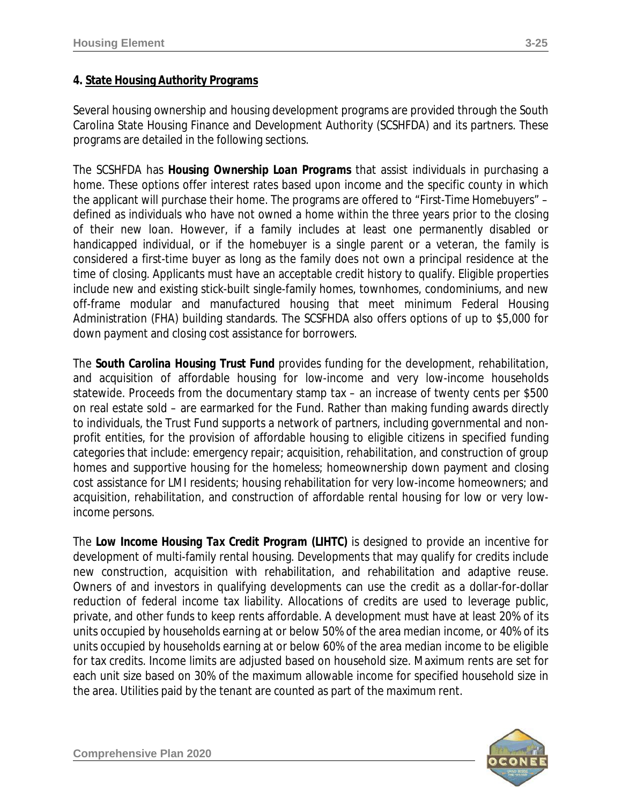### **4. State Housing Authority Programs**

Several housing ownership and housing development programs are provided through the South Carolina State Housing Finance and Development Authority (SCSHFDA) and its partners. These programs are detailed in the following sections.

The SCSHFDA has *Housing Ownership Loan Programs* that assist individuals in purchasing a home. These options offer interest rates based upon income and the specific county in which the applicant will purchase their home. The programs are offered to "*First-Time Homebuyers*" – defined as individuals who have not owned a home within the three years prior to the closing of their new loan. However, if a family includes at least one permanently disabled or handicapped individual, or if the homebuyer is a single parent or a veteran, the family is considered a first-time buyer as long as the family does not own a principal residence at the time of closing. Applicants must have an acceptable credit history to qualify. Eligible properties include new and existing stick-built single-family homes, townhomes, condominiums, and new off-frame modular and manufactured housing that meet minimum Federal Housing Administration (FHA) building standards. The SCSFHDA also offers options of up to \$5,000 for down payment and closing cost assistance for borrowers.

The *South Carolina Housing Trust Fund* provides funding for the development, rehabilitation, and acquisition of affordable housing for low-income and very low-income households statewide. Proceeds from the documentary stamp tax – an increase of twenty cents per \$500 on real estate sold – are earmarked for the Fund. Rather than making funding awards directly to individuals, the Trust Fund supports a network of partners, including governmental and nonprofit entities, for the provision of affordable housing to eligible citizens in specified funding categories that include: emergency repair; acquisition, rehabilitation, and construction of group homes and supportive housing for the homeless; homeownership down payment and closing cost assistance for LMI residents; housing rehabilitation for very low-income homeowners; and acquisition, rehabilitation, and construction of affordable rental housing for low or very lowincome persons.

The *Low Income Housing Tax Credit Program (LIHTC)* is designed to provide an incentive for development of multi-family rental housing. Developments that may qualify for credits include new construction, acquisition with rehabilitation, and rehabilitation and adaptive reuse. Owners of and investors in qualifying developments can use the credit as a dollar-for-dollar reduction of federal income tax liability. Allocations of credits are used to leverage public, private, and other funds to keep rents affordable. A development must have at least 20% of its units occupied by households earning at or below 50% of the area median income, or 40% of its units occupied by households earning at or below 60% of the area median income to be eligible for tax credits. Income limits are adjusted based on household size. Maximum rents are set for each unit size based on 30% of the maximum allowable income for specified household size in the area. Utilities paid by the tenant are counted as part of the maximum rent.

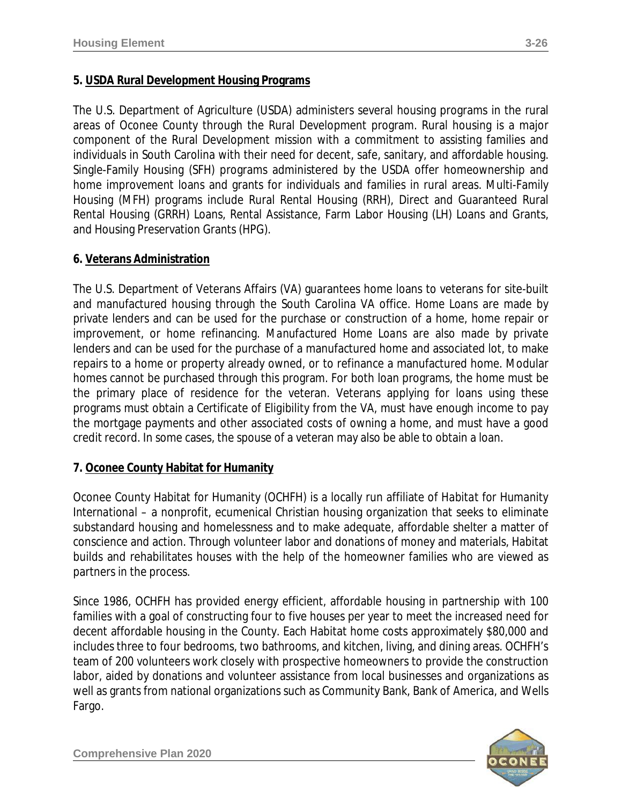### **5. USDA Rural Development Housing Programs**

The U.S. Department of Agriculture (USDA) administers several housing programs in the rural areas of Oconee County through the Rural Development program. Rural housing is a major component of the Rural Development mission with a commitment to assisting families and individuals in South Carolina with their need for decent, safe, sanitary, and affordable housing. Single-Family Housing (SFH) programs administered by the USDA offer homeownership and home improvement loans and grants for individuals and families in rural areas. Multi-Family Housing (MFH) programs include Rural Rental Housing (RRH), Direct and Guaranteed Rural Rental Housing (GRRH) Loans, Rental Assistance, Farm Labor Housing (LH) Loans and Grants, and Housing Preservation Grants (HPG).

#### **6. Veterans Administration**

The U.S. Department of Veterans Affairs (VA) guarantees home loans to veterans for site-built and manufactured housing through the South Carolina VA office. *Home Loans* are made by private lenders and can be used for the purchase or construction of a home, home repair or improvement, or home refinancing. *Manufactured Home Loans* are also made by private lenders and can be used for the purchase of a manufactured home and associated lot, to make repairs to a home or property already owned, or to refinance a manufactured home. Modular homes cannot be purchased through this program. For both loan programs, the home must be the primary place of residence for the veteran. Veterans applying for loans using these programs must obtain a *Certificate of Eligibility* from the VA, must have enough income to pay the mortgage payments and other associated costs of owning a home, and must have a good credit record. In some cases, the spouse of a veteran may also be able to obtain a loan.

#### **7. Oconee County Habitat for Humanity**

Oconee County Habitat for Humanity (OCHFH) is a locally run affiliate of *Habitat for Humanity International* – a nonprofit, ecumenical Christian housing organization that seeks to eliminate substandard housing and homelessness and to make adequate, affordable shelter a matter of conscience and action. Through volunteer labor and donations of money and materials, Habitat builds and rehabilitates houses with the help of the homeowner families who are viewed as partners in the process.

Since 1986, OCHFH has provided energy efficient, affordable housing in partnership with 100 families with a goal of constructing four to five houses per year to meet the increased need for decent affordable housing in the County. Each Habitat home costs approximately \$80,000 and includes three to four bedrooms, two bathrooms, and kitchen, living, and dining areas. OCHFH's team of 200 volunteers work closely with prospective homeowners to provide the construction labor, aided by donations and volunteer assistance from local businesses and organizations as well as grants from national organizations such as Community Bank, Bank of America, and Wells Fargo.

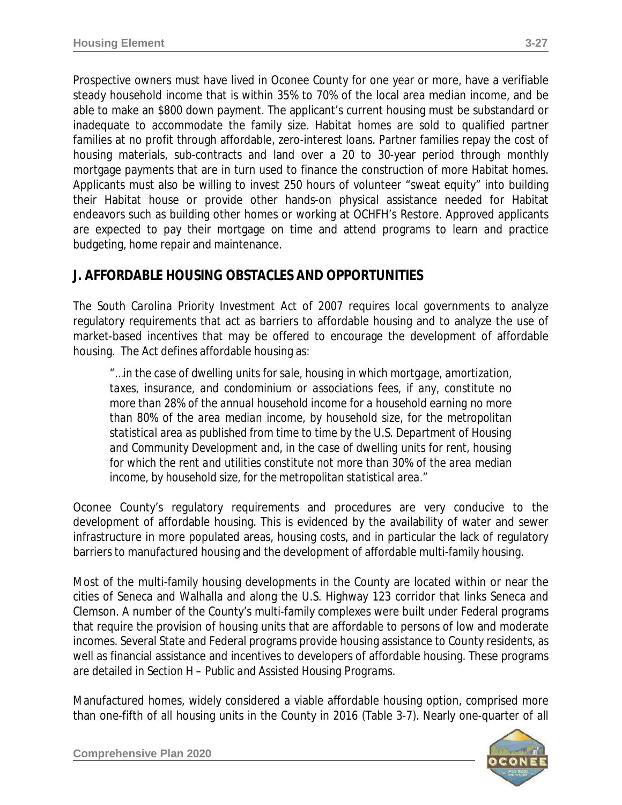Prospective owners must have lived in Oconee County for one year or more, have a verifiable steady household income that is within 35% to 70% of the local area median income, and be able to make an \$800 down payment. The applicant's current housing must be substandard or inadequate to accommodate the family size. Habitat homes are sold to qualified partner families at no profit through affordable, zero-interest loans. Partner families repay the cost of housing materials, sub-contracts and land over a 20 to 30-year period through monthly mortgage payments that are in turn used to finance the construction of more Habitat homes. Applicants must also be willing to invest 250 hours of volunteer "sweat equity" into building their Habitat house or provide other hands-on physical assistance needed for Habitat endeavors such as building other homes or working at OCHFH's Restore. Approved applicants are expected to pay their mortgage on time and attend programs to learn and practice budgeting, home repair and maintenance.

### **J. AFFORDABLE HOUSING OBSTACLES AND OPPORTUNITIES**

The *South Carolina Priority Investment Act* of *2007* requires local governments to analyze regulatory requirements that act as barriers to affordable housing and to analyze the use of market-based incentives that may be offered to encourage the development of affordable housing. The Act defines affordable housing as:

*"…in the case of dwelling units for sale, housing in which mortgage, amortization, taxes, insurance, and condominium or associations fees, if any, constitute no more than 28% of the annual household income for a household earning no more than 80% of the area median income, by household size, for the metropolitan statistical area as published from time to time by the U.S. Department of Housing and Community Development and, in the case of dwelling units for rent, housing for which the rent and utilities constitute not more than 30% of the area median income, by household size, for the metropolitan statistical area."* 

Oconee County's regulatory requirements and procedures are very conducive to the development of affordable housing. This is evidenced by the availability of water and sewer infrastructure in more populated areas, housing costs, and in particular the lack of regulatory barriers to manufactured housing and the development of affordable multi-family housing.

Most of the multi-family housing developments in the County are located within or near the cities of Seneca and Walhalla and along the U.S. Highway 123 corridor that links Seneca and Clemson. A number of the County's multi-family complexes were built under Federal programs that require the provision of housing units that are affordable to persons of low and moderate incomes. Several State and Federal programs provide housing assistance to County residents, as well as financial assistance and incentives to developers of affordable housing. These programs are detailed in *Section H – Public and Assisted Housing Programs*.

Manufactured homes, widely considered a viable affordable housing option, comprised more than one-fifth of all housing units in the County in 2016 (Table 3-7). Nearly one-quarter of all

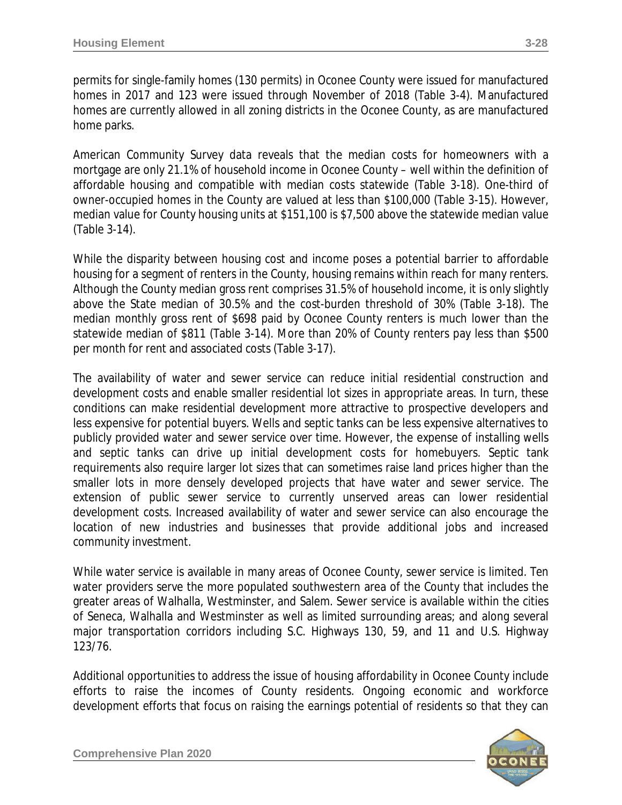permits for single-family homes (130 permits) in Oconee County were issued for manufactured homes in 2017 and 123 were issued through November of 2018 (Table 3-4). Manufactured homes are currently allowed in all zoning districts in the Oconee County, as are manufactured home parks.

American Community Survey data reveals that the median costs for homeowners with a mortgage are only 21.1% of household income in Oconee County – well within the definition of affordable housing and compatible with median costs statewide (Table 3-18). One-third of owner-occupied homes in the County are valued at less than \$100,000 (Table 3-15). However, median value for County housing units at \$151,100 is \$7,500 above the statewide median value (Table 3-14).

While the disparity between housing cost and income poses a potential barrier to affordable housing for a segment of renters in the County, housing remains within reach for many renters. Although the County median gross rent comprises 31.5% of household income, it is only slightly above the State median of 30.5% and the cost-burden threshold of 30% (Table 3-18). The median monthly gross rent of \$698 paid by Oconee County renters is much lower than the statewide median of \$811 (Table 3-14). More than 20% of County renters pay less than \$500 per month for rent and associated costs (Table 3-17).

The availability of water and sewer service can reduce initial residential construction and development costs and enable smaller residential lot sizes in appropriate areas. In turn, these conditions can make residential development more attractive to prospective developers and less expensive for potential buyers. Wells and septic tanks can be less expensive alternatives to publicly provided water and sewer service over time. However, the expense of installing wells and septic tanks can drive up initial development costs for homebuyers. Septic tank requirements also require larger lot sizes that can sometimes raise land prices higher than the smaller lots in more densely developed projects that have water and sewer service. The extension of public sewer service to currently unserved areas can lower residential development costs. Increased availability of water and sewer service can also encourage the location of new industries and businesses that provide additional jobs and increased community investment.

While water service is available in many areas of Oconee County, sewer service is limited. Ten water providers serve the more populated southwestern area of the County that includes the greater areas of Walhalla, Westminster, and Salem. Sewer service is available within the cities of Seneca, Walhalla and Westminster as well as limited surrounding areas; and along several major transportation corridors including S.C. Highways 130, 59, and 11 and U.S. Highway 123/76.

Additional opportunities to address the issue of housing affordability in Oconee County include efforts to raise the incomes of County residents. Ongoing economic and workforce development efforts that focus on raising the earnings potential of residents so that they can

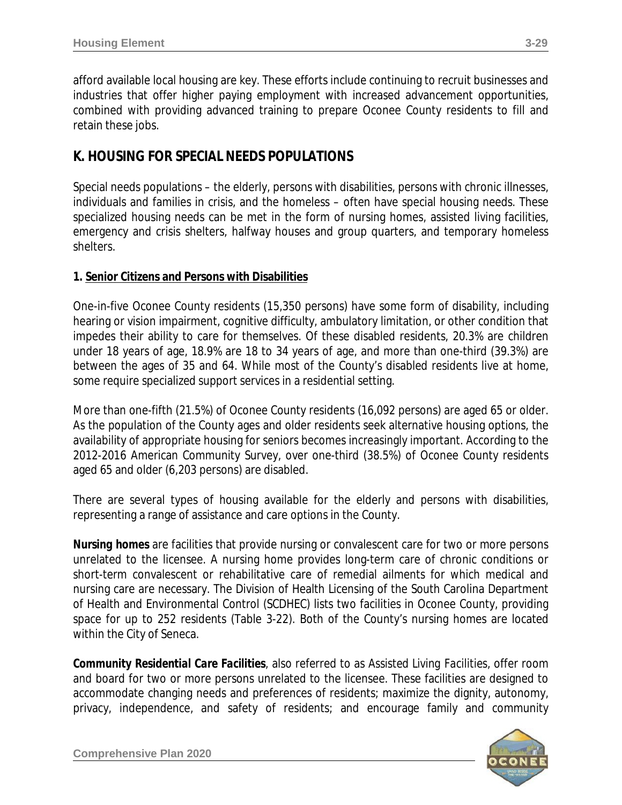afford available local housing are key. These efforts include continuing to recruit businesses and industries that offer higher paying employment with increased advancement opportunities, combined with providing advanced training to prepare Oconee County residents to fill and retain these jobs.

# **K. HOUSING FOR SPECIAL NEEDS POPULATIONS**

Special needs populations – the elderly, persons with disabilities, persons with chronic illnesses, individuals and families in crisis, and the homeless – often have special housing needs. These specialized housing needs can be met in the form of nursing homes, assisted living facilities, emergency and crisis shelters, halfway houses and group quarters, and temporary homeless shelters.

### **1. Senior Citizens and Persons with Disabilities**

One-in-five Oconee County residents (15,350 persons) have some form of disability, including hearing or vision impairment, cognitive difficulty, ambulatory limitation, or other condition that impedes their ability to care for themselves. Of these disabled residents, 20.3% are children under 18 years of age, 18.9% are 18 to 34 years of age, and more than one-third (39.3%) are between the ages of 35 and 64. While most of the County's disabled residents live at home, some require specialized support services in a residential setting.

More than one-fifth (21.5%) of Oconee County residents (16,092 persons) are aged 65 or older. As the population of the County ages and older residents seek alternative housing options, the availability of appropriate housing for seniors becomes increasingly important. According to the 2012-2016 American Community Survey, over one-third (38.5%) of Oconee County residents aged 65 and older (6,203 persons) are disabled.

There are several types of housing available for the elderly and persons with disabilities, representing a range of assistance and care options in the County.

*Nursing homes* are facilities that provide nursing or convalescent care for two or more persons unrelated to the licensee. A nursing home provides long-term care of chronic conditions or short-term convalescent or rehabilitative care of remedial ailments for which medical and nursing care are necessary. The Division of Health Licensing of the South Carolina Department of Health and Environmental Control (SCDHEC) lists two facilities in Oconee County, providing space for up to 252 residents (Table 3-22). Both of the County's nursing homes are located within the City of Seneca.

*Community Residential Care Facilities*, also referred to as *Assisted Living Facilities*, offer room and board for two or more persons unrelated to the licensee. These facilities are designed to accommodate changing needs and preferences of residents; maximize the dignity, autonomy, privacy, independence, and safety of residents; and encourage family and community

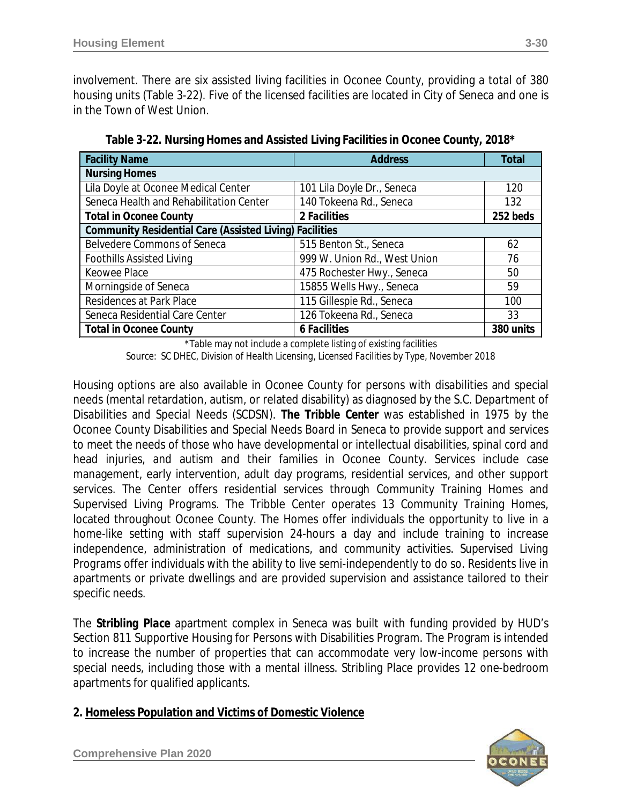involvement. There are six assisted living facilities in Oconee County, providing a total of 380 housing units (Table 3-22). Five of the licensed facilities are located in City of Seneca and one is in the Town of West Union.

| <b>Facility Name</b>                                           | <b>Address</b>               | <b>Total</b> |
|----------------------------------------------------------------|------------------------------|--------------|
| <b>Nursing Homes</b>                                           |                              |              |
| Lila Doyle at Oconee Medical Center                            | 101 Lila Doyle Dr., Seneca   | 120          |
| Seneca Health and Rehabilitation Center                        | 140 Tokeena Rd., Seneca      | 132          |
| <b>Total in Oconee County</b>                                  | 2 Facilities                 | 252 beds     |
| <b>Community Residential Care (Assisted Living) Facilities</b> |                              |              |
| <b>Belvedere Commons of Seneca</b>                             | 515 Benton St., Seneca       | 62           |
| <b>Foothills Assisted Living</b>                               | 999 W. Union Rd., West Union | 76           |
| Keowee Place                                                   | 475 Rochester Hwy., Seneca   | 50           |
| Morningside of Seneca                                          | 15855 Wells Hwy., Seneca     | 59           |
| Residences at Park Place                                       | 115 Gillespie Rd., Seneca    | 100          |
| Seneca Residential Care Center                                 | 126 Tokeena Rd., Seneca      | 33           |
| <b>Total in Oconee County</b>                                  | <b>6 Facilities</b>          | 380 units    |

**Table 3-22. Nursing Homes and Assisted Living Facilities in Oconee County, 2018\***

\*Table may not include a complete listing of existing facilities *Source: SC DHEC, Division of Health Licensing, Licensed Facilities by Type, November 2018*

Housing options are also available in Oconee County for persons with disabilities and special needs (mental retardation, autism, or related disability) as diagnosed by the S.C. Department of Disabilities and Special Needs (SCDSN). *The Tribble Center* was established in 1975 by the Oconee County Disabilities and Special Needs Board in Seneca to provide support and services to meet the needs of those who have developmental or intellectual disabilities, spinal cord and head injuries, and autism and their families in Oconee County. Services include case management, early intervention, adult day programs, residential services, and other support services. The Center offers residential services through Community Training Homes and Supervised Living Programs. The Tribble Center operates 13 *Community Training Homes*, located throughout Oconee County. The Homes offer individuals the opportunity to live in a home-like setting with staff supervision 24-hours a day and include training to increase independence, administration of medications, and community activities. *Supervised Living Programs* offer individuals with the ability to live semi-independently to do so. Residents live in apartments or private dwellings and are provided supervision and assistance tailored to their specific needs.

The *Stribling Place* apartment complex in Seneca was built with funding provided by HUD's Section 811 Supportive Housing for Persons with Disabilities Program. The Program is intended to increase the number of properties that can accommodate very low-income persons with special needs, including those with a mental illness. Stribling Place provides 12 one-bedroom apartments for qualified applicants.

#### **2. Homeless Population and Victims of Domestic Violence**

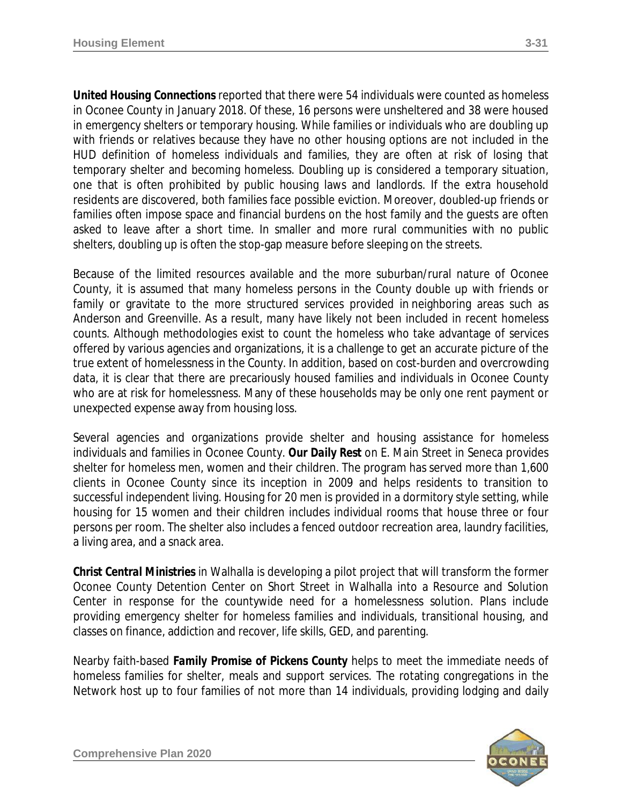*United Housing Connections* reported that there were 54 individuals were counted as homeless in Oconee County in January 2018. Of these, 16 persons were unsheltered and 38 were housed in emergency shelters or temporary housing. While families or individuals who are doubling up with friends or relatives because they have no other housing options are not included in the HUD definition of homeless individuals and families, they are often at risk of losing that temporary shelter and becoming homeless. Doubling up is considered a temporary situation, one that is often prohibited by public housing laws and landlords. If the extra household residents are discovered, both families face possible eviction. Moreover, doubled-up friends or families often impose space and financial burdens on the host family and the guests are often asked to leave after a short time. In smaller and more rural communities with no public shelters, doubling up is often the stop-gap measure before sleeping on the streets.

Because of the limited resources available and the more suburban/rural nature of Oconee County, it is assumed that many homeless persons in the County double up with friends or family or gravitate to the more structured services provided in neighboring areas such as Anderson and Greenville. As a result, many have likely not been included in recent homeless counts. Although methodologies exist to count the homeless who take advantage of services offered by various agencies and organizations, it is a challenge to get an accurate picture of the true extent of homelessness in the County. In addition, based on cost-burden and overcrowding data, it is clear that there are precariously housed families and individuals in Oconee County who are at risk for homelessness. Many of these households may be only one rent payment or unexpected expense away from housing loss.

Several agencies and organizations provide shelter and housing assistance for homeless individuals and families in Oconee County. *Our Daily Rest* on E. Main Street in Seneca provides shelter for homeless men, women and their children. The program has served more than 1,600 clients in Oconee County since its inception in 2009 and helps residents to transition to successful independent living. Housing for 20 men is provided in a dormitory style setting, while housing for 15 women and their children includes individual rooms that house three or four persons per room. The shelter also includes a fenced outdoor recreation area, laundry facilities, a living area, and a snack area.

*Christ Central Ministries* in Walhalla is developing a pilot project that will transform the former Oconee County Detention Center on Short Street in Walhalla into a Resource and Solution Center in response for the countywide need for a homelessness solution. Plans include providing emergency shelter for homeless families and individuals, transitional housing, and classes on finance, addiction and recover, life skills, GED, and parenting.

Nearby faith-based *Family Promise of Pickens County* helps to meet the immediate needs of homeless families for shelter, meals and support services. The rotating congregations in the Network host up to four families of not more than 14 individuals, providing lodging and daily

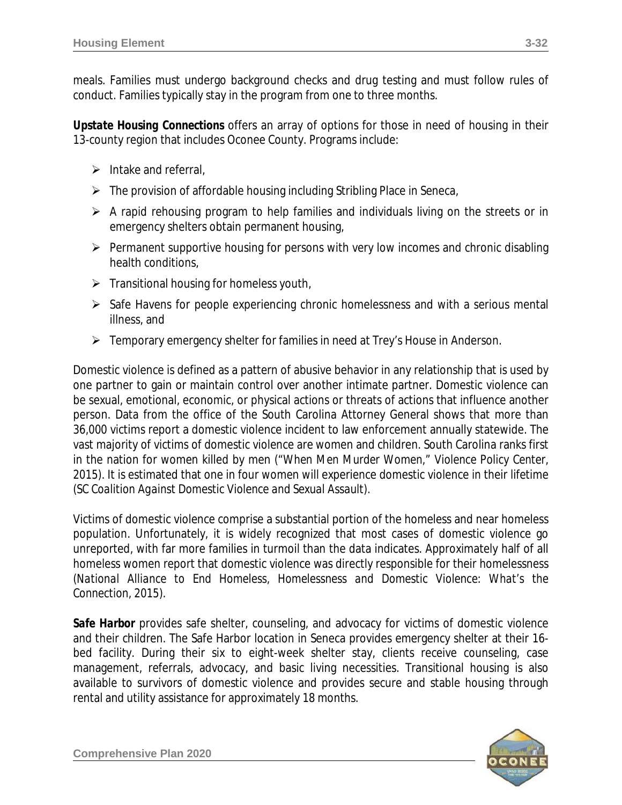meals. Families must undergo background checks and drug testing and must follow rules of conduct. Families typically stay in the program from one to three months.

*Upstate Housing Connections* offers an array of options for those in need of housing in their 13-county region that includes Oconee County. Programs include:

- $\triangleright$  Intake and referral,
- $\triangleright$  The provision of affordable housing including Stribling Place in Seneca,
- $\triangleright$  A rapid rehousing program to help families and individuals living on the streets or in emergency shelters obtain permanent housing,
- $\triangleright$  Permanent supportive housing for persons with very low incomes and chronic disabling health conditions,
- $\triangleright$  Transitional housing for homeless youth,
- $\triangleright$  Safe Havens for people experiencing chronic homelessness and with a serious mental illness, and
- Femporary emergency shelter for families in need at Trey's House in Anderson.

Domestic violence is defined as a pattern of abusive behavior in any relationship that is used by one partner to gain or maintain control over another intimate partner. Domestic violence can be sexual, emotional, economic, or physical actions or threats of actions that influence another person. Data from the office of the South Carolina Attorney General shows that more than 36,000 victims report a domestic violence incident to law enforcement annually statewide. The vast majority of victims of domestic violence are women and children. South Carolina ranks first in the nation for women killed by men *("When Men Murder Women," Violence Policy Center, 2015)*. It is estimated that one in four women will experience domestic violence in their lifetime *(SC Coalition Against Domestic Violence and Sexual Assault)*.

Victims of domestic violence comprise a substantial portion of the homeless and near homeless population. Unfortunately, it is widely recognized that most cases of domestic violence go unreported, with far more families in turmoil than the data indicates. Approximately half of all homeless women report that domestic violence was directly responsible for their homelessness *(National Alliance to End Homeless, Homelessness and Domestic Violence: What's the Connection, 2015)*.

**Safe Harbor** provides safe shelter, counseling, and advocacy for victims of domestic violence and their children. The Safe Harbor location in Seneca provides emergency shelter at their 16 bed facility. During their six to eight-week shelter stay, clients receive counseling, case management, referrals, advocacy, and basic living necessities. Transitional housing is also available to survivors of domestic violence and provides secure and stable housing through rental and utility assistance for approximately 18 months.

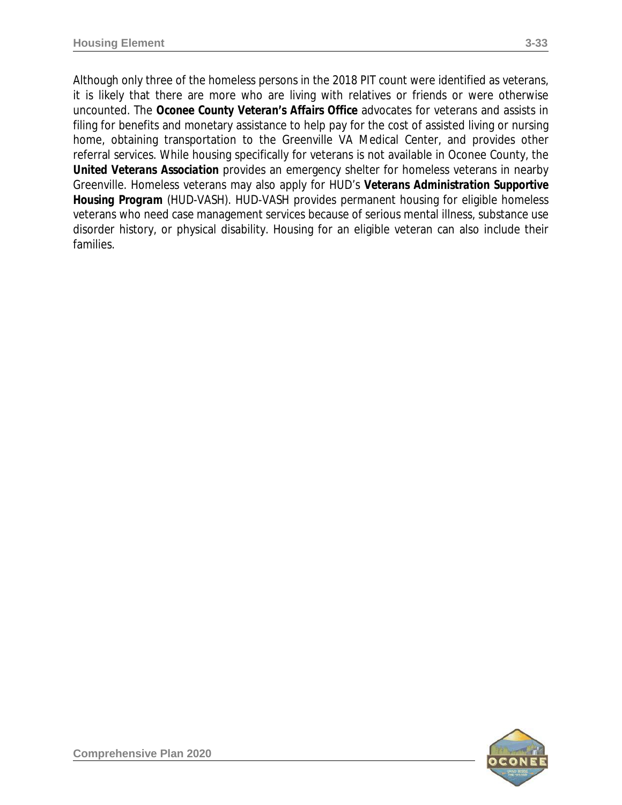Although only three of the homeless persons in the 2018 PIT count were identified as veterans, it is likely that there are more who are living with relatives or friends or were otherwise uncounted. The *Oconee County Veteran's Affairs Office* advocates for veterans and assists in filing for benefits and monetary assistance to help pay for the cost of assisted living or nursing home, obtaining transportation to the Greenville VA Medical Center, and provides other referral services. While housing specifically for veterans is not available in Oconee County, the *United Veterans Association* provides an emergency shelter for homeless veterans in nearby Greenville. Homeless veterans may also apply for HUD's *Veterans Administration Supportive Housing Program* (HUD-VASH). HUD-VASH provides permanent housing for eligible homeless veterans who need case management services because of serious mental illness, substance use disorder history, or physical disability. Housing for an eligible veteran can also include their families.

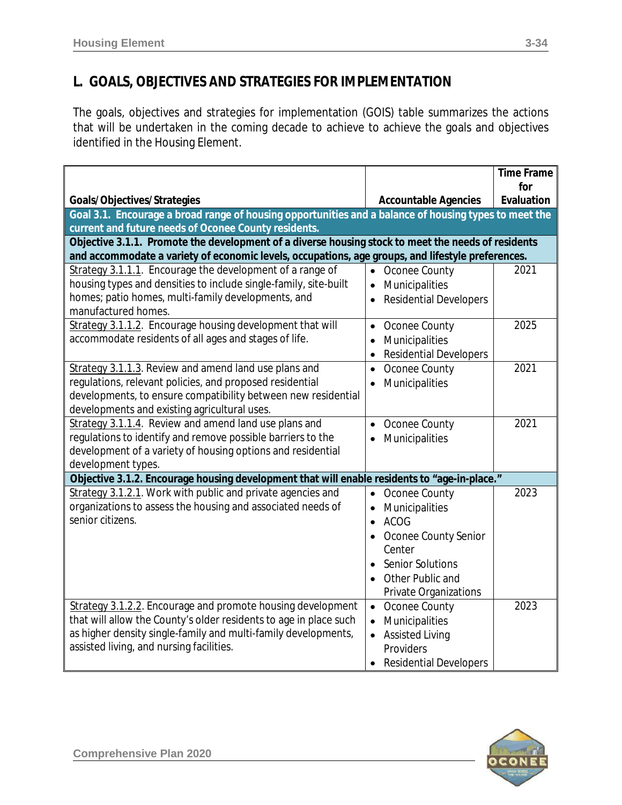# **L. GOALS, OBJECTIVES AND STRATEGIES FOR IMPLEMENTATION**

The goals, objectives and strategies for implementation (GOIS) table summarizes the actions that will be undertaken in the coming decade to achieve to achieve the goals and objectives identified in the Housing Element.

|                                                                                                                   |                                            | <b>Time Frame</b> |
|-------------------------------------------------------------------------------------------------------------------|--------------------------------------------|-------------------|
| Goals/Objectives/Strategies                                                                                       | <b>Accountable Agencies</b>                | for<br>Evaluation |
| Goal 3.1. Encourage a broad range of housing opportunities and a balance of housing types to meet the             |                                            |                   |
| current and future needs of Oconee County residents.                                                              |                                            |                   |
| Objective 3.1.1. Promote the development of a diverse housing stock to meet the needs of residents                |                                            |                   |
| and accommodate a variety of economic levels, occupations, age groups, and lifestyle preferences.                 |                                            |                   |
| Strategy 3.1.1.1. Encourage the development of a range of                                                         | • Oconee County                            | 2021              |
| housing types and densities to include single-family, site-built                                                  | Municipalities<br>$\bullet$                |                   |
| homes; patio homes, multi-family developments, and                                                                | <b>Residential Developers</b>              |                   |
| manufactured homes.                                                                                               |                                            |                   |
| Strategy 3.1.1.2. Encourage housing development that will                                                         | Oconee County<br>$\bullet$                 | 2025              |
| accommodate residents of all ages and stages of life.                                                             | Municipalities<br>$\bullet$                |                   |
|                                                                                                                   | <b>Residential Developers</b><br>$\bullet$ | 2021              |
| Strategy 3.1.1.3. Review and amend land use plans and<br>regulations, relevant policies, and proposed residential | Oconee County<br>$\bullet$                 |                   |
| developments, to ensure compatibility between new residential                                                     | Municipalities<br>$\bullet$                |                   |
| developments and existing agricultural uses.                                                                      |                                            |                   |
| Strategy 3.1.1.4. Review and amend land use plans and                                                             | Oconee County<br>$\bullet$                 | 2021              |
| regulations to identify and remove possible barriers to the                                                       | Municipalities<br>$\bullet$                |                   |
| development of a variety of housing options and residential                                                       |                                            |                   |
| development types.                                                                                                |                                            |                   |
| Objective 3.1.2. Encourage housing development that will enable residents to "age-in-place."                      |                                            |                   |
| Strategy 3.1.2.1. Work with public and private agencies and                                                       | Oconee County<br>$\bullet$                 | 2023              |
| organizations to assess the housing and associated needs of                                                       | Municipalities<br>$\bullet$                |                   |
| senior citizens.                                                                                                  | <b>ACOG</b><br>$\bullet$                   |                   |
|                                                                                                                   | Oconee County Senior                       |                   |
|                                                                                                                   | Center                                     |                   |
|                                                                                                                   | <b>Senior Solutions</b>                    |                   |
|                                                                                                                   | Other Public and                           |                   |
|                                                                                                                   | Private Organizations                      |                   |
| Strategy 3.1.2.2. Encourage and promote housing development                                                       | • Oconee County                            | 2023              |
| that will allow the County's older residents to age in place such                                                 | Municipalities<br>$\bullet$                |                   |
| as higher density single-family and multi-family developments,<br>assisted living, and nursing facilities.        | <b>Assisted Living</b><br>$\bullet$        |                   |
|                                                                                                                   | Providers                                  |                   |
|                                                                                                                   | <b>Residential Developers</b><br>$\bullet$ |                   |

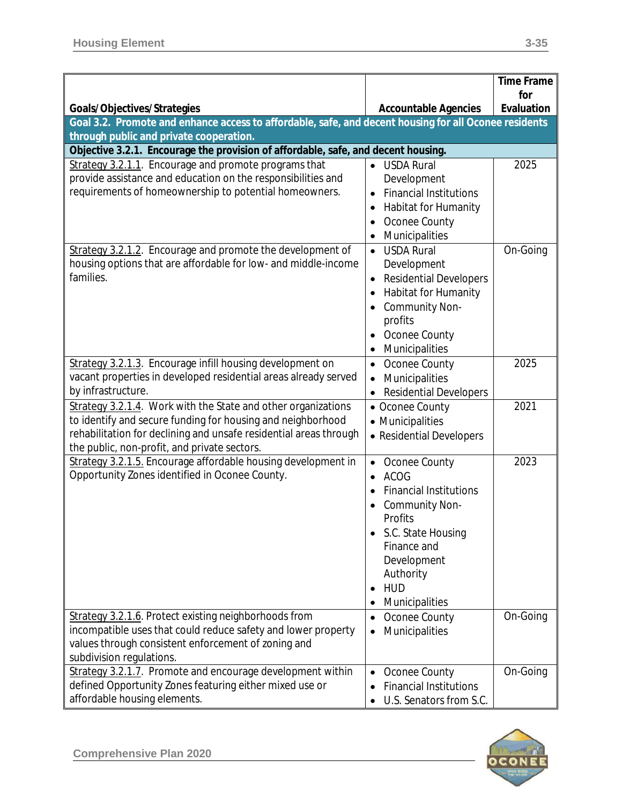|                                                                                                                                                                                                                                                   |                                                                                                                                                                                                                                   | <b>Time Frame</b> |
|---------------------------------------------------------------------------------------------------------------------------------------------------------------------------------------------------------------------------------------------------|-----------------------------------------------------------------------------------------------------------------------------------------------------------------------------------------------------------------------------------|-------------------|
| Goals/Objectives/Strategies                                                                                                                                                                                                                       | <b>Accountable Agencies</b>                                                                                                                                                                                                       | for<br>Evaluation |
| Goal 3.2. Promote and enhance access to affordable, safe, and decent housing for all Oconee residents                                                                                                                                             |                                                                                                                                                                                                                                   |                   |
| through public and private cooperation.                                                                                                                                                                                                           |                                                                                                                                                                                                                                   |                   |
| Objective 3.2.1. Encourage the provision of affordable, safe, and decent housing.                                                                                                                                                                 |                                                                                                                                                                                                                                   |                   |
| Strategy 3.2.1.1. Encourage and promote programs that<br>provide assistance and education on the responsibilities and<br>requirements of homeownership to potential homeowners.                                                                   | <b>USDA Rural</b><br>Development<br><b>Financial Institutions</b><br>$\bullet$<br><b>Habitat for Humanity</b><br>٠<br>Oconee County<br>$\bullet$<br>Municipalities<br>$\bullet$                                                   | 2025              |
| Strategy 3.2.1.2. Encourage and promote the development of<br>housing options that are affordable for low- and middle-income<br>families.                                                                                                         | <b>USDA Rural</b><br>$\bullet$<br>Development<br><b>Residential Developers</b><br>٠<br><b>Habitat for Humanity</b><br>٠<br><b>Community Non-</b><br>profits<br>Oconee County<br>Municipalities<br>$\bullet$                       | On-Going          |
| Strategy 3.2.1.3. Encourage infill housing development on<br>vacant properties in developed residential areas already served<br>by infrastructure.                                                                                                | Oconee County<br>$\bullet$<br>Municipalities<br>$\bullet$<br><b>Residential Developers</b><br>$\bullet$                                                                                                                           | 2025              |
| Strategy 3.2.1.4. Work with the State and other organizations<br>to identify and secure funding for housing and neighborhood<br>rehabilitation for declining and unsafe residential areas through<br>the public, non-profit, and private sectors. | • Oconee County<br>• Municipalities<br>• Residential Developers                                                                                                                                                                   | 2021              |
| Strategy 3.2.1.5. Encourage affordable housing development in<br>Opportunity Zones identified in Oconee County.                                                                                                                                   | Oconee County<br>٠<br><b>ACOG</b><br>$\bullet$<br><b>Financial Institutions</b><br><b>Community Non-</b><br>Profits<br>S.C. State Housing<br>Finance and<br>Development<br>Authority<br><b>HUD</b><br>$\bullet$<br>Municipalities | 2023              |
| Strategy 3.2.1.6. Protect existing neighborhoods from<br>incompatible uses that could reduce safety and lower property<br>values through consistent enforcement of zoning and<br>subdivision regulations.                                         | Oconee County<br>٠<br>Municipalities<br>٠                                                                                                                                                                                         | On-Going          |
| Strategy 3.2.1.7. Promote and encourage development within<br>defined Opportunity Zones featuring either mixed use or<br>affordable housing elements.                                                                                             | Oconee County<br>$\bullet$<br><b>Financial Institutions</b><br>$\bullet$<br>U.S. Senators from S.C.<br>٠                                                                                                                          | On-Going          |

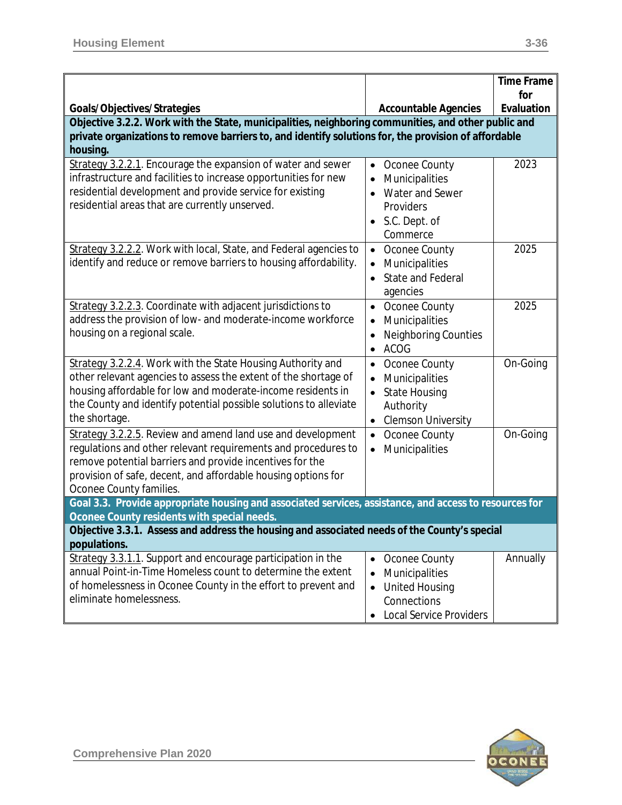| for<br>Evaluation<br>Goals/Objectives/Strategies<br><b>Accountable Agencies</b><br>Objective 3.2.2. Work with the State, municipalities, neighboring communities, and other public and<br>private organizations to remove barriers to, and identify solutions for, the provision of affordable<br>housing.<br>Strategy 3.2.2.1. Encourage the expansion of water and sewer<br>2023<br>Oconee County<br>$\bullet$<br>infrastructure and facilities to increase opportunities for new<br>Municipalities<br>$\bullet$<br>residential development and provide service for existing<br>Water and Sewer<br>$\bullet$<br>residential areas that are currently unserved.<br>Providers<br>S.C. Dept. of<br>Commerce<br>Strategy 3.2.2.2. Work with local, State, and Federal agencies to<br>2025<br>Oconee County<br>$\bullet$<br>identify and reduce or remove barriers to housing affordability.<br>Municipalities<br>$\bullet$<br>State and Federal<br>$\bullet$<br>agencies<br>Strategy 3.2.2.3. Coordinate with adjacent jurisdictions to<br>2025<br>Oconee County<br>$\bullet$<br>address the provision of low- and moderate-income workforce<br>Municipalities<br>$\bullet$<br>housing on a regional scale.<br><b>Neighboring Counties</b><br>$\bullet$<br><b>ACOG</b><br>$\bullet$<br>Strategy 3.2.2.4. Work with the State Housing Authority and<br>On-Going<br>Oconee County<br>$\bullet$<br>other relevant agencies to assess the extent of the shortage of<br>Municipalities<br>$\bullet$<br>housing affordable for low and moderate-income residents in<br><b>State Housing</b><br>$\bullet$<br>the County and identify potential possible solutions to alleviate<br>Authority<br>the shortage.<br><b>Clemson University</b><br>$\bullet$<br>Strategy 3.2.2.5. Review and amend land use and development<br>On-Going<br>• Oconee County<br>regulations and other relevant requirements and procedures to<br>Municipalities<br>$\bullet$<br>remove potential barriers and provide incentives for the<br>provision of safe, decent, and affordable housing options for<br>Oconee County families.<br>Goal 3.3. Provide appropriate housing and associated services, assistance, and access to resources for<br>Oconee County residents with special needs. |  | <b>Time Frame</b> |
|--------------------------------------------------------------------------------------------------------------------------------------------------------------------------------------------------------------------------------------------------------------------------------------------------------------------------------------------------------------------------------------------------------------------------------------------------------------------------------------------------------------------------------------------------------------------------------------------------------------------------------------------------------------------------------------------------------------------------------------------------------------------------------------------------------------------------------------------------------------------------------------------------------------------------------------------------------------------------------------------------------------------------------------------------------------------------------------------------------------------------------------------------------------------------------------------------------------------------------------------------------------------------------------------------------------------------------------------------------------------------------------------------------------------------------------------------------------------------------------------------------------------------------------------------------------------------------------------------------------------------------------------------------------------------------------------------------------------------------------------------------------------------------------------------------------------------------------------------------------------------------------------------------------------------------------------------------------------------------------------------------------------------------------------------------------------------------------------------------------------------------------------------------------------------------------------------------------------------------------------------------------|--|-------------------|
|                                                                                                                                                                                                                                                                                                                                                                                                                                                                                                                                                                                                                                                                                                                                                                                                                                                                                                                                                                                                                                                                                                                                                                                                                                                                                                                                                                                                                                                                                                                                                                                                                                                                                                                                                                                                                                                                                                                                                                                                                                                                                                                                                                                                                                                              |  |                   |
|                                                                                                                                                                                                                                                                                                                                                                                                                                                                                                                                                                                                                                                                                                                                                                                                                                                                                                                                                                                                                                                                                                                                                                                                                                                                                                                                                                                                                                                                                                                                                                                                                                                                                                                                                                                                                                                                                                                                                                                                                                                                                                                                                                                                                                                              |  |                   |
|                                                                                                                                                                                                                                                                                                                                                                                                                                                                                                                                                                                                                                                                                                                                                                                                                                                                                                                                                                                                                                                                                                                                                                                                                                                                                                                                                                                                                                                                                                                                                                                                                                                                                                                                                                                                                                                                                                                                                                                                                                                                                                                                                                                                                                                              |  |                   |
|                                                                                                                                                                                                                                                                                                                                                                                                                                                                                                                                                                                                                                                                                                                                                                                                                                                                                                                                                                                                                                                                                                                                                                                                                                                                                                                                                                                                                                                                                                                                                                                                                                                                                                                                                                                                                                                                                                                                                                                                                                                                                                                                                                                                                                                              |  |                   |
|                                                                                                                                                                                                                                                                                                                                                                                                                                                                                                                                                                                                                                                                                                                                                                                                                                                                                                                                                                                                                                                                                                                                                                                                                                                                                                                                                                                                                                                                                                                                                                                                                                                                                                                                                                                                                                                                                                                                                                                                                                                                                                                                                                                                                                                              |  |                   |
|                                                                                                                                                                                                                                                                                                                                                                                                                                                                                                                                                                                                                                                                                                                                                                                                                                                                                                                                                                                                                                                                                                                                                                                                                                                                                                                                                                                                                                                                                                                                                                                                                                                                                                                                                                                                                                                                                                                                                                                                                                                                                                                                                                                                                                                              |  |                   |
|                                                                                                                                                                                                                                                                                                                                                                                                                                                                                                                                                                                                                                                                                                                                                                                                                                                                                                                                                                                                                                                                                                                                                                                                                                                                                                                                                                                                                                                                                                                                                                                                                                                                                                                                                                                                                                                                                                                                                                                                                                                                                                                                                                                                                                                              |  |                   |
|                                                                                                                                                                                                                                                                                                                                                                                                                                                                                                                                                                                                                                                                                                                                                                                                                                                                                                                                                                                                                                                                                                                                                                                                                                                                                                                                                                                                                                                                                                                                                                                                                                                                                                                                                                                                                                                                                                                                                                                                                                                                                                                                                                                                                                                              |  |                   |
|                                                                                                                                                                                                                                                                                                                                                                                                                                                                                                                                                                                                                                                                                                                                                                                                                                                                                                                                                                                                                                                                                                                                                                                                                                                                                                                                                                                                                                                                                                                                                                                                                                                                                                                                                                                                                                                                                                                                                                                                                                                                                                                                                                                                                                                              |  |                   |
|                                                                                                                                                                                                                                                                                                                                                                                                                                                                                                                                                                                                                                                                                                                                                                                                                                                                                                                                                                                                                                                                                                                                                                                                                                                                                                                                                                                                                                                                                                                                                                                                                                                                                                                                                                                                                                                                                                                                                                                                                                                                                                                                                                                                                                                              |  |                   |
|                                                                                                                                                                                                                                                                                                                                                                                                                                                                                                                                                                                                                                                                                                                                                                                                                                                                                                                                                                                                                                                                                                                                                                                                                                                                                                                                                                                                                                                                                                                                                                                                                                                                                                                                                                                                                                                                                                                                                                                                                                                                                                                                                                                                                                                              |  |                   |
|                                                                                                                                                                                                                                                                                                                                                                                                                                                                                                                                                                                                                                                                                                                                                                                                                                                                                                                                                                                                                                                                                                                                                                                                                                                                                                                                                                                                                                                                                                                                                                                                                                                                                                                                                                                                                                                                                                                                                                                                                                                                                                                                                                                                                                                              |  |                   |
|                                                                                                                                                                                                                                                                                                                                                                                                                                                                                                                                                                                                                                                                                                                                                                                                                                                                                                                                                                                                                                                                                                                                                                                                                                                                                                                                                                                                                                                                                                                                                                                                                                                                                                                                                                                                                                                                                                                                                                                                                                                                                                                                                                                                                                                              |  |                   |
|                                                                                                                                                                                                                                                                                                                                                                                                                                                                                                                                                                                                                                                                                                                                                                                                                                                                                                                                                                                                                                                                                                                                                                                                                                                                                                                                                                                                                                                                                                                                                                                                                                                                                                                                                                                                                                                                                                                                                                                                                                                                                                                                                                                                                                                              |  |                   |
|                                                                                                                                                                                                                                                                                                                                                                                                                                                                                                                                                                                                                                                                                                                                                                                                                                                                                                                                                                                                                                                                                                                                                                                                                                                                                                                                                                                                                                                                                                                                                                                                                                                                                                                                                                                                                                                                                                                                                                                                                                                                                                                                                                                                                                                              |  |                   |
|                                                                                                                                                                                                                                                                                                                                                                                                                                                                                                                                                                                                                                                                                                                                                                                                                                                                                                                                                                                                                                                                                                                                                                                                                                                                                                                                                                                                                                                                                                                                                                                                                                                                                                                                                                                                                                                                                                                                                                                                                                                                                                                                                                                                                                                              |  |                   |
|                                                                                                                                                                                                                                                                                                                                                                                                                                                                                                                                                                                                                                                                                                                                                                                                                                                                                                                                                                                                                                                                                                                                                                                                                                                                                                                                                                                                                                                                                                                                                                                                                                                                                                                                                                                                                                                                                                                                                                                                                                                                                                                                                                                                                                                              |  |                   |
|                                                                                                                                                                                                                                                                                                                                                                                                                                                                                                                                                                                                                                                                                                                                                                                                                                                                                                                                                                                                                                                                                                                                                                                                                                                                                                                                                                                                                                                                                                                                                                                                                                                                                                                                                                                                                                                                                                                                                                                                                                                                                                                                                                                                                                                              |  |                   |
|                                                                                                                                                                                                                                                                                                                                                                                                                                                                                                                                                                                                                                                                                                                                                                                                                                                                                                                                                                                                                                                                                                                                                                                                                                                                                                                                                                                                                                                                                                                                                                                                                                                                                                                                                                                                                                                                                                                                                                                                                                                                                                                                                                                                                                                              |  |                   |
|                                                                                                                                                                                                                                                                                                                                                                                                                                                                                                                                                                                                                                                                                                                                                                                                                                                                                                                                                                                                                                                                                                                                                                                                                                                                                                                                                                                                                                                                                                                                                                                                                                                                                                                                                                                                                                                                                                                                                                                                                                                                                                                                                                                                                                                              |  |                   |
|                                                                                                                                                                                                                                                                                                                                                                                                                                                                                                                                                                                                                                                                                                                                                                                                                                                                                                                                                                                                                                                                                                                                                                                                                                                                                                                                                                                                                                                                                                                                                                                                                                                                                                                                                                                                                                                                                                                                                                                                                                                                                                                                                                                                                                                              |  |                   |
|                                                                                                                                                                                                                                                                                                                                                                                                                                                                                                                                                                                                                                                                                                                                                                                                                                                                                                                                                                                                                                                                                                                                                                                                                                                                                                                                                                                                                                                                                                                                                                                                                                                                                                                                                                                                                                                                                                                                                                                                                                                                                                                                                                                                                                                              |  |                   |
|                                                                                                                                                                                                                                                                                                                                                                                                                                                                                                                                                                                                                                                                                                                                                                                                                                                                                                                                                                                                                                                                                                                                                                                                                                                                                                                                                                                                                                                                                                                                                                                                                                                                                                                                                                                                                                                                                                                                                                                                                                                                                                                                                                                                                                                              |  |                   |
|                                                                                                                                                                                                                                                                                                                                                                                                                                                                                                                                                                                                                                                                                                                                                                                                                                                                                                                                                                                                                                                                                                                                                                                                                                                                                                                                                                                                                                                                                                                                                                                                                                                                                                                                                                                                                                                                                                                                                                                                                                                                                                                                                                                                                                                              |  |                   |
|                                                                                                                                                                                                                                                                                                                                                                                                                                                                                                                                                                                                                                                                                                                                                                                                                                                                                                                                                                                                                                                                                                                                                                                                                                                                                                                                                                                                                                                                                                                                                                                                                                                                                                                                                                                                                                                                                                                                                                                                                                                                                                                                                                                                                                                              |  |                   |
|                                                                                                                                                                                                                                                                                                                                                                                                                                                                                                                                                                                                                                                                                                                                                                                                                                                                                                                                                                                                                                                                                                                                                                                                                                                                                                                                                                                                                                                                                                                                                                                                                                                                                                                                                                                                                                                                                                                                                                                                                                                                                                                                                                                                                                                              |  |                   |
|                                                                                                                                                                                                                                                                                                                                                                                                                                                                                                                                                                                                                                                                                                                                                                                                                                                                                                                                                                                                                                                                                                                                                                                                                                                                                                                                                                                                                                                                                                                                                                                                                                                                                                                                                                                                                                                                                                                                                                                                                                                                                                                                                                                                                                                              |  |                   |
|                                                                                                                                                                                                                                                                                                                                                                                                                                                                                                                                                                                                                                                                                                                                                                                                                                                                                                                                                                                                                                                                                                                                                                                                                                                                                                                                                                                                                                                                                                                                                                                                                                                                                                                                                                                                                                                                                                                                                                                                                                                                                                                                                                                                                                                              |  |                   |
| Objective 3.3.1. Assess and address the housing and associated needs of the County's special                                                                                                                                                                                                                                                                                                                                                                                                                                                                                                                                                                                                                                                                                                                                                                                                                                                                                                                                                                                                                                                                                                                                                                                                                                                                                                                                                                                                                                                                                                                                                                                                                                                                                                                                                                                                                                                                                                                                                                                                                                                                                                                                                                 |  |                   |
| populations.                                                                                                                                                                                                                                                                                                                                                                                                                                                                                                                                                                                                                                                                                                                                                                                                                                                                                                                                                                                                                                                                                                                                                                                                                                                                                                                                                                                                                                                                                                                                                                                                                                                                                                                                                                                                                                                                                                                                                                                                                                                                                                                                                                                                                                                 |  |                   |
| Strategy 3.3.1.1. Support and encourage participation in the<br>Annually<br>Oconee County<br>$\bullet$<br>annual Point-in-Time Homeless count to determine the extent                                                                                                                                                                                                                                                                                                                                                                                                                                                                                                                                                                                                                                                                                                                                                                                                                                                                                                                                                                                                                                                                                                                                                                                                                                                                                                                                                                                                                                                                                                                                                                                                                                                                                                                                                                                                                                                                                                                                                                                                                                                                                        |  |                   |
| Municipalities<br>$\bullet$<br>of homelessness in Oconee County in the effort to prevent and                                                                                                                                                                                                                                                                                                                                                                                                                                                                                                                                                                                                                                                                                                                                                                                                                                                                                                                                                                                                                                                                                                                                                                                                                                                                                                                                                                                                                                                                                                                                                                                                                                                                                                                                                                                                                                                                                                                                                                                                                                                                                                                                                                 |  |                   |
| <b>United Housing</b><br>$\bullet$<br>eliminate homelessness.<br>Connections                                                                                                                                                                                                                                                                                                                                                                                                                                                                                                                                                                                                                                                                                                                                                                                                                                                                                                                                                                                                                                                                                                                                                                                                                                                                                                                                                                                                                                                                                                                                                                                                                                                                                                                                                                                                                                                                                                                                                                                                                                                                                                                                                                                 |  |                   |
| <b>Local Service Providers</b><br>$\bullet$                                                                                                                                                                                                                                                                                                                                                                                                                                                                                                                                                                                                                                                                                                                                                                                                                                                                                                                                                                                                                                                                                                                                                                                                                                                                                                                                                                                                                                                                                                                                                                                                                                                                                                                                                                                                                                                                                                                                                                                                                                                                                                                                                                                                                  |  |                   |